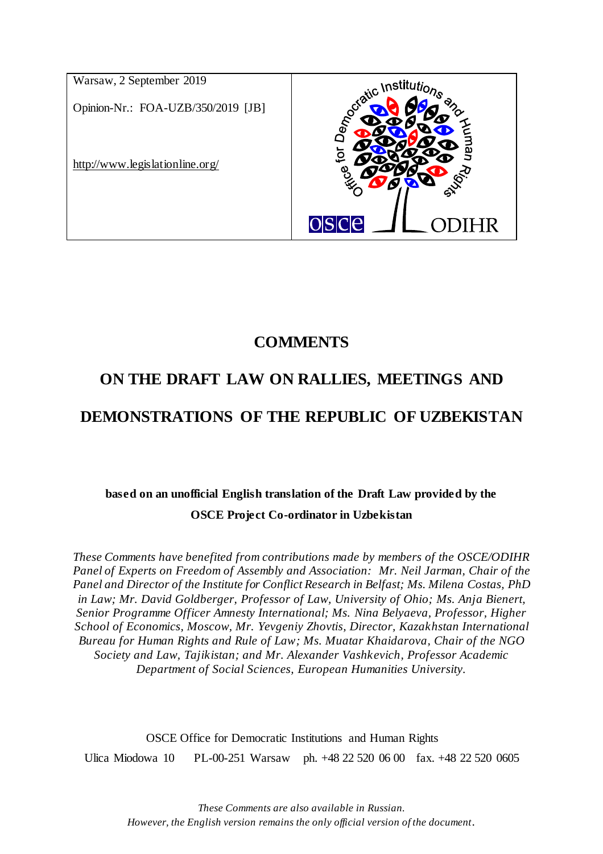

# **COMMENTS**

# **ON THE DRAFT LAW ON RALLIES, MEETINGS AND**

# **DEMONSTRATIONS OF THE REPUBLIC OF UZBEKISTAN**

# **based on an unofficial English translation of the Draft Law provided by the OSCE Project Co-ordinator in Uzbekistan**

*These Comments have benefited from contributions made by members of the OSCE/ODIHR Panel of Experts on Freedom of Assembly and Association: Mr. Neil Jarman, Chair of the Panel and Director of the Institute for Conflict Research in Belfast; Ms. Milena Costas, PhD in Law; Mr. David Goldberger, Professor of Law, University of Ohio; Ms. Anja Bienert, Senior Programme Officer Amnesty International; Ms. Nina Belyaeva, Professor, Higher School of Economics, Moscow, Mr. Yevgeniy Zhovtis, Director, Kazakhstan International Bureau for Human Rights and Rule of Law; Ms. Muatar Khaidarova, Chair of the NGO Society and Law, Tajikistan; and Mr. Alexander Vashkevich, Professor Academic Department of Social Sciences, European Humanities University.*

OSCE Office for Democratic Institutions and Human Rights Ulica Miodowa 10 PL-00-251 Warsaw ph. +48 22 520 06 00 fax. +48 22 520 0605

*These Comments are also available in Russian. However, the English version remains the only official version of the document.*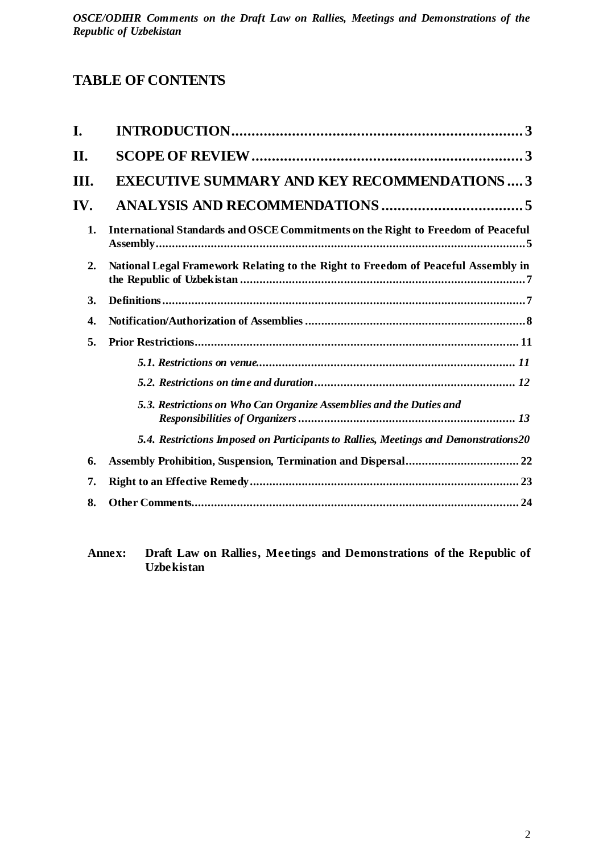# **TABLE OF CONTENTS**

| I.  |                                                                                      |
|-----|--------------------------------------------------------------------------------------|
| П.  |                                                                                      |
| Ш.  | <b>EXECUTIVE SUMMARY AND KEY RECOMMENDATIONS3</b>                                    |
| IV. |                                                                                      |
| 1.  | International Standards and OSCE Commitments on the Right to Freedom of Peaceful     |
| 2.  | National Legal Framework Relating to the Right to Freedom of Peaceful Assembly in    |
| 3.  |                                                                                      |
| 4.  |                                                                                      |
| 5.  |                                                                                      |
|     |                                                                                      |
|     |                                                                                      |
|     | 5.3. Restrictions on Who Can Organize Assemblies and the Duties and                  |
|     | 5.4. Restrictions Imposed on Participants to Rallies, Meetings and Demonstrations 20 |
| 6.  |                                                                                      |
| 7.  |                                                                                      |
| 8.  |                                                                                      |

**Annex: Draft Law on Rallies, Meetings and Demonstrations of the Republic of Uzbekistan**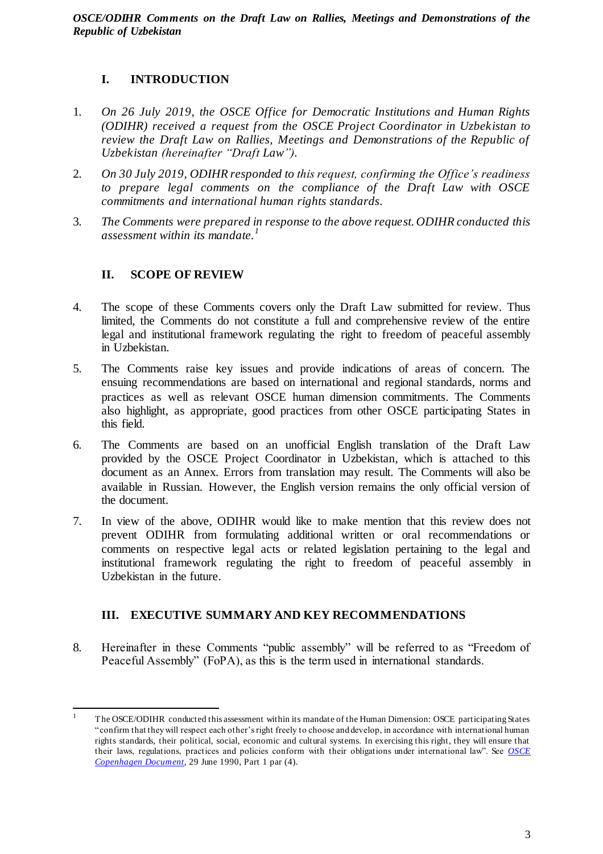# <span id="page-2-0"></span>**I. INTRODUCTION**

- 1. *On 26 July 2019, the OSCE Office for Democratic Institutions and Human Rights (ODIHR) received a request from the OSCE Project Coordinator in Uzbekistan to review the Draft Law on Rallies, Meetings and Demonstrations of the Republic of Uzbekistan (hereinafter "Draft Law").*
- 2. *On 30 July 2019, ODIHR responded to this request, confirming the Office's readiness to prepare legal comments on the compliance of the Draft Law with OSCE commitments and international human rights standards.*
- <span id="page-2-1"></span>3. *The Comments were prepared in response to the above request. ODIHR conducted this assessment within its mandate.<sup>1</sup>*

# **II. SCOPE OF REVIEW**

- 4. The scope of these Comments covers only the Draft Law submitted for review. Thus limited, the Comments do not constitute a full and comprehensive review of the entire legal and institutional framework regulating the right to freedom of peaceful assembly in Uzbekistan.
- 5. The Comments raise key issues and provide indications of areas of concern. The ensuing recommendations are based on international and regional standards, norms and practices as well as relevant OSCE human dimension commitments. The Comments also highlight, as appropriate, good practices from other OSCE participating States in this field.
- 6. The Comments are based on an unofficial English translation of the Draft Law provided by the OSCE Project Coordinator in Uzbekistan, which is attached to this document as an Annex. Errors from translation may result. The Comments will also be available in Russian. However, the English version remains the only official version of the document.
- 7. In view of the above, ODIHR would like to make mention that this review does not prevent ODIHR from formulating additional written or oral recommendations or comments on respective legal acts or related legislation pertaining to the legal and institutional framework regulating the right to freedom of peaceful assembly in Uzbekistan in the future.

# <span id="page-2-2"></span>**III. EXECUTIVE SUMMARY AND KEY RECOMMENDATIONS**

8. Hereinafter in these Comments "public assembly" will be referred to as "Freedom of Peaceful Assembly" (FoPA), as this is the term used in international standards.

 $\overline{a}$ <sup>1</sup> The OSCE/ODIHR conducted this assessment within its mandate of the Human Dimension: OSCE participating States "confirm that they will respect each other's right freely to choose and develop, in accordance with international human rights standards, their political, social, economic and cultural systems. In exercising this right, they will ensure that their laws, regulations, practices and policies conform with their obligations under international law". See *[OSCE](https://www.osce.org/odihr/elections/14304)  [Copenhagen Document](https://www.osce.org/odihr/elections/14304)*, 29 June 1990, Part 1 par (4).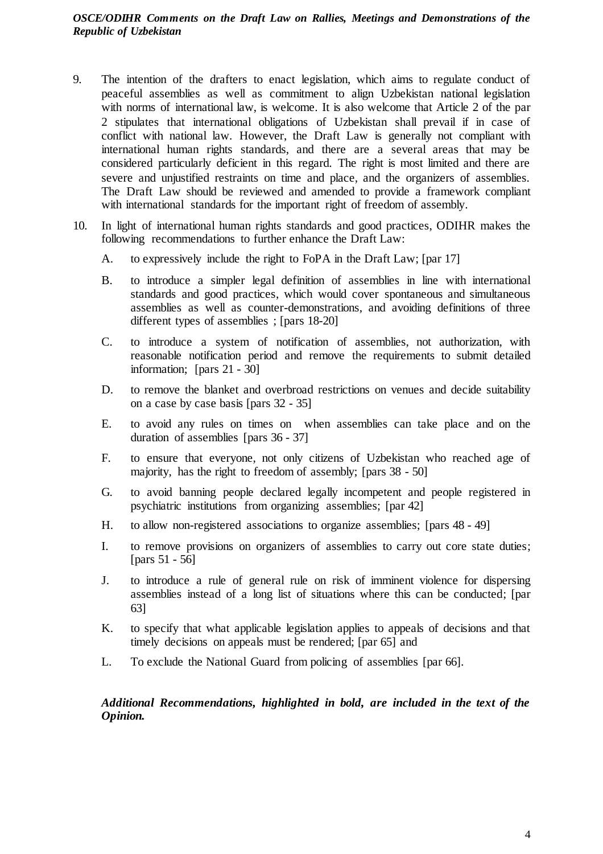- 9. The intention of the drafters to enact legislation, which aims to regulate conduct of peaceful assemblies as well as commitment to align Uzbekistan national legislation with norms of international law, is welcome. It is also welcome that Article 2 of the par 2 stipulates that international obligations of Uzbekistan shall prevail if in case of conflict with national law. However, the Draft Law is generally not compliant with international human rights standards, and there are a several areas that may be considered particularly deficient in this regard. The right is most limited and there are severe and unjustified restraints on time and place, and the organizers of assemblies. The Draft Law should be reviewed and amended to provide a framework compliant with international standards for the important right of freedom of assembly.
- 10. In light of international human rights standards and good practices, ODIHR makes the following recommendations to further enhance the Draft Law:
	- A. to expressively include the right to FoPA in the Draft Law; [par 17]
	- B. to introduce a simpler legal definition of assemblies in line with international standards and good practices, which would cover spontaneous and simultaneous assemblies as well as counter-demonstrations, and avoiding definitions of three different types of assemblies ; [pars 18-20]
	- C. to introduce a system of notification of assemblies, not authorization, with reasonable notification period and remove the requirements to submit detailed information; [pars 21 - 30]
	- D. to remove the blanket and overbroad restrictions on venues and decide suitability on a case by case basis [pars 32 - 35]
	- E. to avoid any rules on times on when assemblies can take place and on the duration of assemblies [pars 36 - 37]
	- F. to ensure that everyone, not only citizens of Uzbekistan who reached age of majority, has the right to freedom of assembly; [pars 38 - 50]
	- G. to avoid banning people declared legally incompetent and people registered in psychiatric institutions from organizing assemblies; [par 42]
	- H. to allow non-registered associations to organize assemblies; [pars 48 49]
	- I. to remove provisions on organizers of assemblies to carry out core state duties; [pars 51 - 56]
	- J. to introduce a rule of general rule on risk of imminent violence for dispersing assemblies instead of a long list of situations where this can be conducted; [par 63]
	- K. to specify that what applicable legislation applies to appeals of decisions and that timely decisions on appeals must be rendered; [par 65] and
	- L. To exclude the National Guard from policing of assemblies [par 66].

*Additional Recommendations, highlighted in bold, are included in the text of the Opinion.*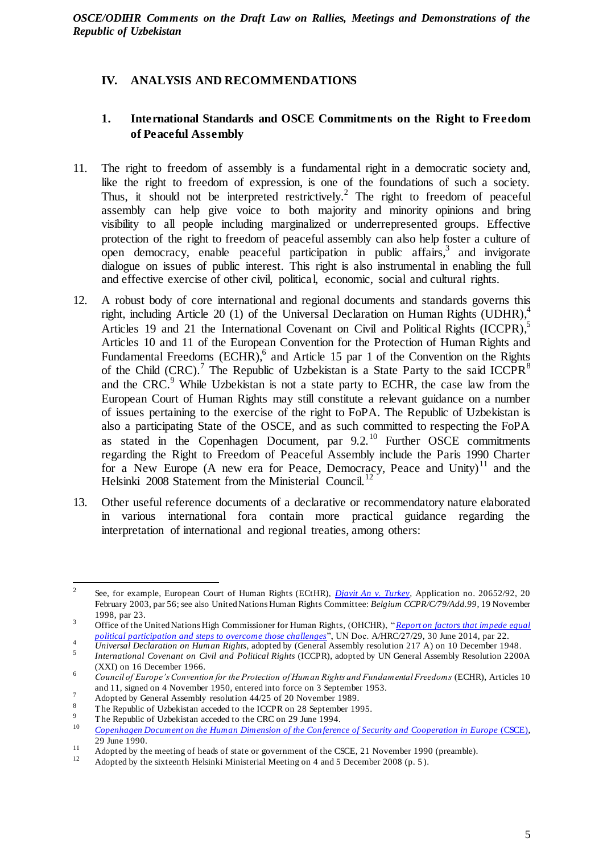# <span id="page-4-0"></span>**IV. ANALYSIS AND RECOMMENDATIONS**

# <span id="page-4-1"></span>**1. International Standards and OSCE Commitments on the Right to Freedom of Peaceful Assembly**

- 11. The right to freedom of assembly is a fundamental right in a democratic society and, like the right to freedom of expression, is one of the foundations of such a society. Thus, it should not be interpreted restrictively.<sup>2</sup> The right to freedom of peaceful assembly can help give voice to both majority and minority opinions and bring visibility to all people including marginalized or underrepresented groups. Effective protection of the right to freedom of peaceful assembly can also help foster a culture of open democracy, enable peaceful participation in public affairs,<sup>3</sup> and invigorate dialogue on issues of public interest. This right is also instrumental in enabling the full and effective exercise of other civil, political, economic, social and cultural rights.
- 12. A robust body of core international and regional documents and standards governs this right, including Article 20 (1) of the Universal Declaration on Human Rights (UDHR),<sup>4</sup> Articles 19 and 21 the International Covenant on Civil and Political Rights (ICCPR),<sup>5</sup> Articles 10 and 11 of the European Convention for the Protection of Human Rights and Fundamental Freedoms  $(ECHR)$ , and Article 15 par 1 of the Convention on the Rights of the Child (CRC).<sup>7</sup> The Republic of Uzbekistan is a State Party to the said ICCPR<sup>8</sup> and the CRC.<sup>9</sup> While Uzbekistan is not a state party to ECHR, the case law from the European Court of Human Rights may still constitute a relevant guidance on a number of issues pertaining to the exercise of the right to FoPA. The Republic of Uzbekistan is also a participating State of the OSCE, and as such committed to respecting the FoPA as stated in the Copenhagen Document, par  $9.2^{10}$  Further OSCE commitments regarding the Right to Freedom of Peaceful Assembly include the Paris 1990 Charter for a New Europe (A new era for Peace, Democracy, Peace and Unity)<sup>11</sup> and the Helsinki 2008 Statement from the Ministerial Council.<sup>12</sup>
- 13. Other useful reference documents of a declarative or recommendatory nature elaborated in various international fora contain more practical guidance regarding the interpretation of international and regional treaties, among others:

 $\frac{1}{2}$ See, for example, European Court of Human Rights (ECtHR), *[Djavit An v. Turkey](http://hudoc.echr.coe.int/eng?i=001-60953)*, Application no. 20652/92, 20 February 2003, par 56; see also United Nations Human Rights Committee: *Belgium CCPR/C/79/Add.99*, 19 November 1998, par 23.

<sup>3</sup> Office of the United Nations High Commissioner for Human Rights, (OHCHR), "*Report on factors [that impede equal](https://digitallibrary.un.org/record/777756)  [political participation and steps to overcome those challenges](https://digitallibrary.un.org/record/777756)*", UN Doc. A/HRC/27/29, 30 June 2014, par 22.

<sup>4</sup> *Universal Declaration on Human Rights*, adopted b[y \(General Assembly resolution 217 A](http://www.un.org/en/ga/search/view_doc.asp?symbol=A/RES/217(III))) on 10 December 1948.

<sup>5</sup> *International Covenant on Civil and Political Rights* (ICCPR), adopted by UN General Assembly Resolution 2200A (XXI) on 16 December 1966.

<sup>6</sup> *Council of Europe's Convention for the Protection of Human Rights and Fundamental Freedoms* (ECHR), Articles 10 and 11, signed on 4 November 1950, entered into force on 3 September 1953.

 $\frac{7}{18}$  Adopted by General Assembly resolution 44/25 of 20 November 1989.

<sup>&</sup>lt;sup>8</sup> The Republic of Uzbekistan acceded to the ICCPR on 28 September 1995.

<sup>&</sup>lt;sup>9</sup> The Republic of Uzbekistan acceded to the CRC on 29 June 1994.

<sup>10</sup> *[Copenhagen Document on the Human Dimension of the Con](https://www.osce.org/odihr/elections/14304) ference of Security and Cooperation in Europe* (CSCE), 29 June 1990.

<sup>&</sup>lt;sup>11</sup> Adopted by the meeting of heads of state or government of the CSCE, 21 November 1990 (preamble).

Adopted by the sixteenth Helsinki Ministerial Meeting on 4 and 5 December 2008 (p. 5).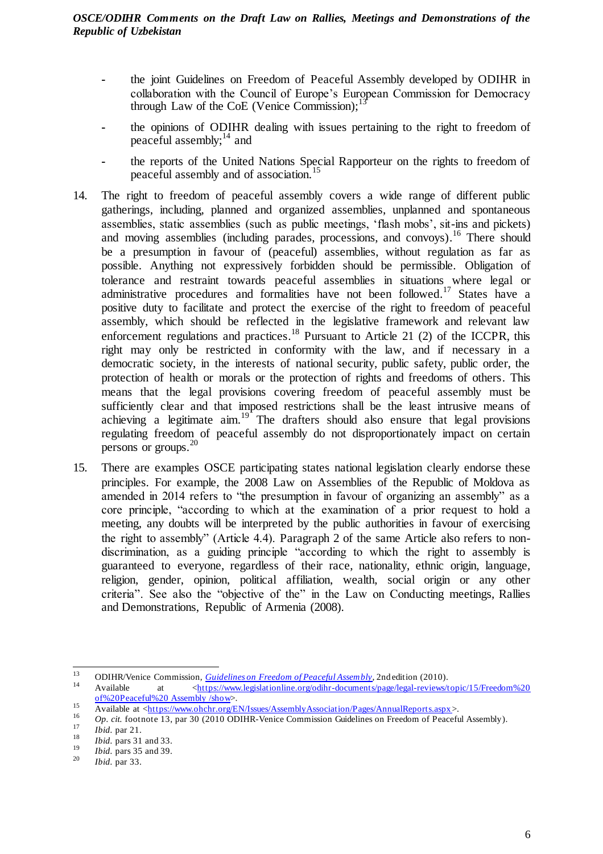- **-** the joint Guidelines on Freedom of Peaceful Assembly developed by ODIHR in collaboration with the Council of Europe's European Commission for Democracy through Law of the CoE (Venice Commission); $^{13}$
- **-** the opinions of ODIHR dealing with issues pertaining to the right to freedom of peaceful assembly; $^{14}$  and
- **-** the reports of the United Nations Special Rapporteur on the rights to freedom of peaceful assembly and of association.<sup>15</sup>
- 14. The right to freedom of peaceful assembly covers a wide range of different public gatherings, including, planned and organized assemblies, unplanned and spontaneous assemblies, static assemblies (such as public meetings, 'flash mobs', sit-ins and pickets) and moving assemblies (including parades, processions, and convoys). <sup>16</sup> There should be a presumption in favour of (peaceful) assemblies, without regulation as far as possible. Anything not expressively forbidden should be permissible. Obligation of tolerance and restraint towards peaceful assemblies in situations where legal or administrative procedures and formalities have not been followed.<sup>17</sup> States have a positive duty to facilitate and protect the exercise of the right to freedom of peaceful assembly, which should be reflected in the legislative framework and relevant law enforcement regulations and practices.<sup>18</sup> Pursuant to Article 21 (2) of the ICCPR, this right may only be restricted in conformity with the law, and if necessary in a democratic society, in the interests of national security, public safety, public order, the protection of health or morals or the protection of rights and freedoms of others. This means that the legal provisions covering freedom of peaceful assembly must be sufficiently clear and that imposed restrictions shall be the least intrusive means of achieving a legitimate aim.<sup>19</sup> The drafters should also ensure that legal provisions regulating freedom of peaceful assembly do not disproportionately impact on certain persons or groups. 20
- 15. There are examples OSCE participating states national legislation clearly endorse these principles. For example, the 2008 Law on Assemblies of the Republic of Moldova as amended in 2014 refers to "the presumption in favour of organizing an assembly" as a core principle, "according to which at the examination of a prior request to hold a meeting, any doubts will be interpreted by the public authorities in favour of exercising the right to assembly" (Article 4.4). Paragraph 2 of the same Article also refers to nondiscrimination, as a guiding principle "according to which the right to assembly is guaranteed to everyone, regardless of their race, nationality, ethnic origin, language, religion, gender, opinion, political affiliation, wealth, social origin or any other criteria". See also the "objective of the" in the Law on Conducting meetings, Rallies and Demonstrations, Republic of Armenia (2008).

<sup>13</sup> <sup>13</sup> **ODIHR/Venice Commission**, *[Guidelines on Freedom of Peaceful Assembly](https://www.venice.coe.int/webforms/documents/?pdf=CDL-AD(2019)017-e)*, 2nd edition (2010).

<sup>14</sup> Available at [<https://www.legislationline.org/odihr-documents/page/legal-reviews/topic/15/Freedom%20](https://www.legislationline.org/odihr-documents/page/legal-reviews/topic/15/Freedom%20%20of%20Peaceful%20%20Assembly%20/show)  [of%20Peaceful%20 Assembly /show>](https://www.legislationline.org/odihr-documents/page/legal-reviews/topic/15/Freedom%20%20of%20Peaceful%20%20Assembly%20/show).

<sup>15</sup>  $\frac{15}{\text{Available at } \frac{\text{which of } \text{the number of}}{\text{with } \text{the number of}} \cdot \frac{\text{The number of}}{\text{the number of}} \cdot \frac{\text{The number of}}{\text{the number of}} \cdot \frac{\text{The number of}}{\text{the number of}} \cdot \frac{\text{The number of}}{\text{the number of}} \cdot \frac{\text{The number of}}{\text{the number of}} \cdot \frac{\text{The number of}}{\text{the number of}} \cdot \frac{\text{The number of}}{\text{the number of}} \cdot \frac{\text{The number of}}{\text{the number of}} \cdot \frac{\text{The number of}}{\text{the number of}} \cdot \frac{\text{The number of}}{\text{the number$ 

<sup>16</sup> *Op. cit.* footnote 13, par 30 (2010 ODIHR-Venice Commission Guidelines on Freedom of Peaceful Assembly). 17

 $\frac{17}{18}$  *Ibid.* par 21.

 $\frac{18}{19}$  *Ibid.* pars 31 and 33.

 $\frac{19}{20}$  *Ibid.* pars 35 and 39.

*Ibid.* par 33.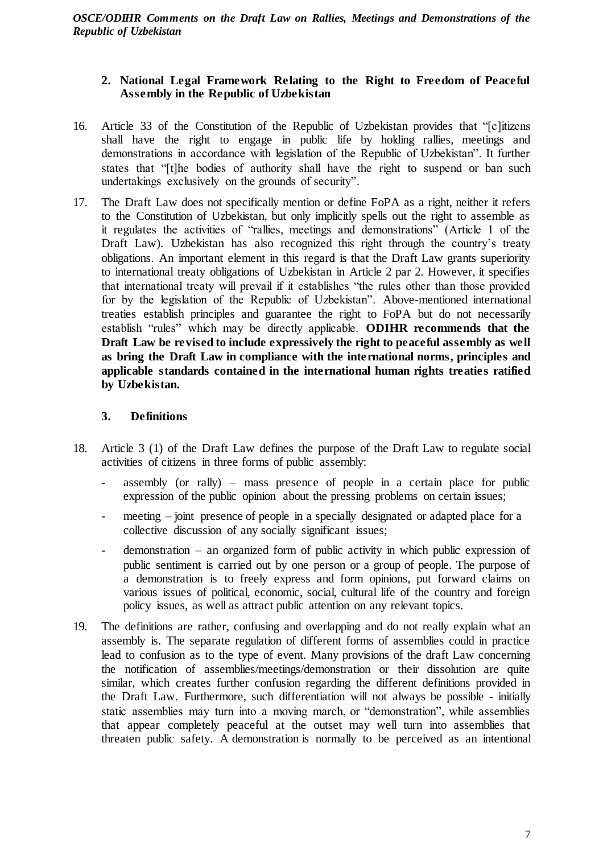# <span id="page-6-0"></span>**2. National Legal Framework Relating to the Right to Freedom of Peaceful Assembly in the Republic of Uzbekistan**

- 16. Article 33 of the Constitution of the Republic of Uzbekistan provides that "[c]itizens shall have the right to engage in public life by holding rallies, meetings and demonstrations in accordance with legislation of the Republic of Uzbekistan". It further states that "[t]he bodies of authority shall have the right to suspend or ban such undertakings exclusively on the grounds of security".
- 17. The Draft Law does not specifically mention or define FoPA as a right, neither it refers to the Constitution of Uzbekistan, but only implicitly spells out the right to assemble as it regulates the activities of "rallies, meetings and demonstrations" (Article 1 of the Draft Law). Uzbekistan has also recognized this right through the country's treaty obligations. An important element in this regard is that the Draft Law grants superiority to international treaty obligations of Uzbekistan in Article 2 par 2. However, it specifies that international treaty will prevail if it establishes "the rules other than those provided for by the legislation of the Republic of Uzbekistan". Above-mentioned international treaties establish principles and guarantee the right to FoPA but do not necessarily establish "rules" which may be directly applicable. **ODIHR recommends that the Draft Law be revised to include expressively the right to peaceful assembly as well as bring the Draft Law in compliance with the international norms, principles and applicable standards contained in the international human rights treaties ratified by Uzbekistan.**

# <span id="page-6-1"></span>**3. Definitions**

- 18. Article 3 (1) of the Draft Law defines the purpose of the Draft Law to regulate social activities of citizens in three forms of public assembly:
	- assembly (or rally) mass presence of people in a certain place for public expression of the public opinion about the pressing problems on certain issues;
	- meeting joint presence of people in a specially designated or adapted place for a collective discussion of any socially significant issues;
	- $d$ emonstration an organized form of public activity in which public expression of public sentiment is carried out by one person or a group of people. The purpose of a demonstration is to freely express and form opinions, put forward claims on various issues of political, economic, social, cultural life of the country and foreign policy issues, as well as attract public attention on any relevant topics.
- 19. The definitions are rather, confusing and overlapping and do not really explain what an assembly is. The separate regulation of different forms of assemblies could in practice lead to confusion as to the type of event. Many provisions of the draft Law concerning the notification of assemblies/meetings/demonstration or their dissolution are quite similar, which creates further confusion regarding the different definitions provided in the Draft Law. Furthermore, such differentiation will not always be possible - initially static assemblies may turn into a moving march, or "demonstration", while assemblies that appear completely peaceful at the outset may well turn into assemblies that threaten public safety. A demonstration is normally to be perceived as an intentional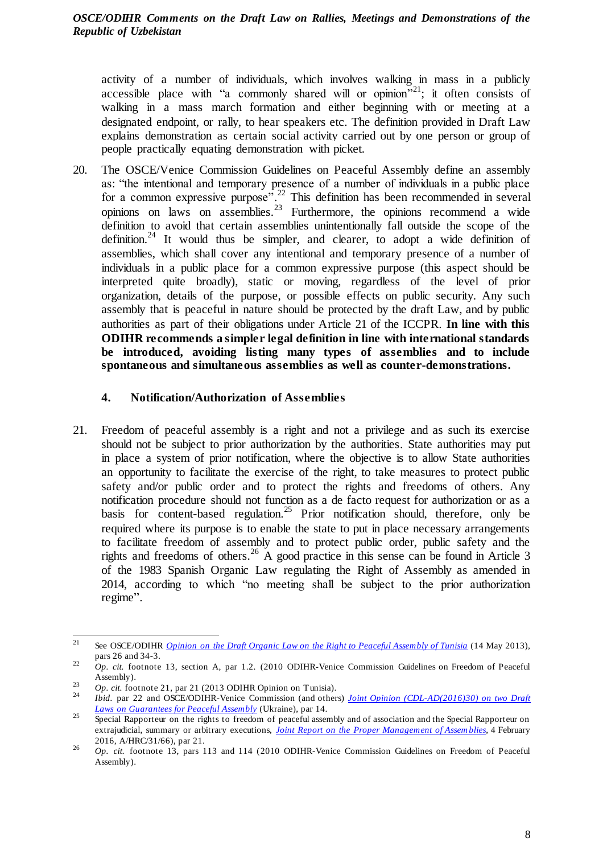activity of a number of individuals, which involves walking in mass in a publicly accessible place with "a commonly shared will or opinion"<sup>21</sup>; it often consists of walking in a mass march formation and either beginning with or meeting at a designated endpoint, or rally, to hear speakers etc. The definition provided in Draft Law explains demonstration as certain social activity carried out by one person or group of people practically equating demonstration with picket.

20. The OSCE/Venice Commission Guidelines on Peaceful Assembly define an assembly as: "the intentional and temporary presence of a number of individuals in a public place for a common expressive purpose".<sup>22</sup> This definition has been recommended in several opinions on laws on assemblies.<sup>23</sup> Furthermore, the opinions recommend a wide definition to avoid that certain assemblies unintentionally fall outside the scope of the definition.<sup>24</sup> It would thus be simpler, and clearer, to adopt a wide definition of assemblies, which shall cover any intentional and temporary presence of a number of individuals in a public place for a common expressive purpose (this aspect should be interpreted quite broadly), static or moving, regardless of the level of prior organization, details of the purpose, or possible effects on public security. Any such assembly that is peaceful in nature should be protected by the draft Law, and by public authorities as part of their obligations under Article 21 of the ICCPR. **In line with this ODIHR recommends a simpler legal definition in line with international standards be introduced, avoiding listing many types of assemblies and to include spontaneous and simultaneous assemblies as well as counter-demonstrations.**

# <span id="page-7-0"></span>**4. Notification/Authorization of Assemblies**

21. Freedom of peaceful assembly is a right and not a privilege and as such its exercise should not be subject to prior authorization by the authorities. State authorities may put in place a system of prior notification, where the objective is to allow State authorities an opportunity to facilitate the exercise of the right, to take measures to protect public safety and/or public order and to protect the rights and freedoms of others. Any notification procedure should not function as a de facto request for authorization or as a basis for content-based regulation.<sup>25</sup> Prior notification should, therefore, only be required where its purpose is to enable the state to put in place necessary arrangements to facilitate freedom of assembly and to protect public order, public safety and the rights and freedoms of others.<sup>26</sup> A good practice in this sense can be found in Article 3 of the 1983 Spanish Organic Law regulating the Right of Assembly as amended in 2014, according to which "no meeting shall be subject to the prior authorization regime".

 21 See OSCE/ODIHR *[Opinion on the Draft Organic Law on the Right to Peaceful Assembly of Tunisia](http://www.legislationline.org/documents/id/18001)* (14 May 2013), pars 26 and 34-3.

<sup>22</sup> *Op. cit.* footnote 13, section A, par 1.2. (2010 ODIHR-Venice Commission Guidelines on Freedom of Peaceful Assembly).

<sup>23</sup> *Op. cit.* footnote 21, par 21 (2013 ODIHR Opinion on Tunisia).

<sup>24</sup> *Ibid.* par 22 and OSCE/ODIHR-Venice Commission (and others) *Joint Opinion (CDL-AD(2016)30) on two Draft [Laws on Guarantees for Peaceful Assembly](http://www.legislationline.org/documents/id/20079)* (Ukraine), par 14.

<sup>25</sup> Special Rapporteur on the rights to freedom of peaceful assembly and of association and the Special Rapporteur on extrajudicial, summary or arbitrary executions, *[Joint Report on the Proper Management of Assem](https://undocs.org/A/HRC/31/66) blies*, 4 February 2016, A/HRC/31/66), par 21.

<sup>&</sup>lt;sup>26</sup> *Op. cit.* footnote 13, pars 113 and 114 (2010 ODIHR-Venice Commission Guidelines on Freedom of Peaceful Assembly).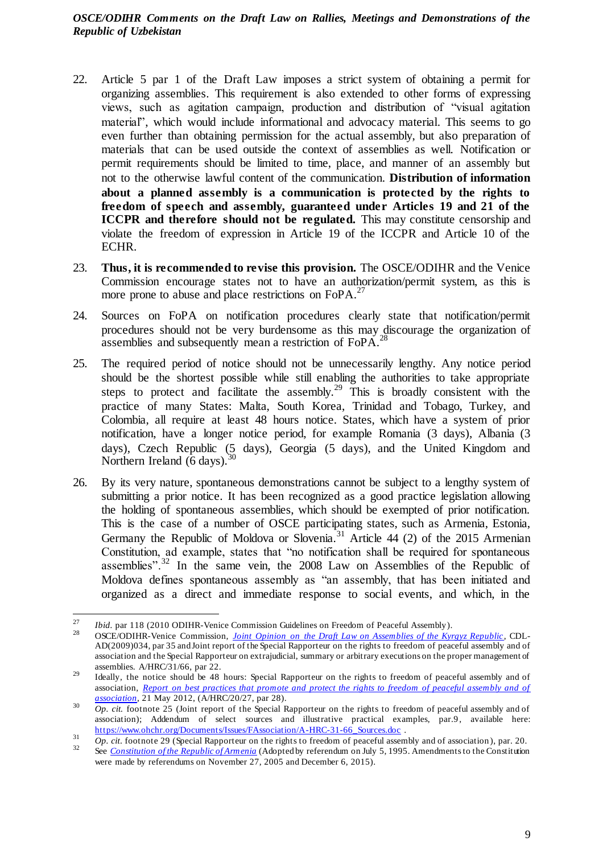- 22. Article 5 par 1 of the Draft Law imposes a strict system of obtaining a permit for organizing assemblies. This requirement is also extended to other forms of expressing views, such as agitation campaign, production and distribution of "visual agitation material", which would include informational and advocacy material. This seems to go even further than obtaining permission for the actual assembly, but also preparation of materials that can be used outside the context of assemblies as well. Notification or permit requirements should be limited to time, place, and manner of an assembly but not to the otherwise lawful content of the communication. **Distribution of information about a planned assembly is a communication is protected by the rights to freedom of speech and assembly, guaranteed under Articles 19 and 21 of the ICCPR** and therefore should not be regulated. This may constitute censorship and violate the freedom of expression in Article 19 of the ICCPR and Article 10 of the ECHR.
- 23. **Thus, it is recommended to revise this provision.** The OSCE/ODIHR and the Venice Commission encourage states not to have an authorization/permit system, as this is more prone to abuse and place restrictions on  $FoPA$ .<sup>27</sup>
- 24. Sources on FoPA on notification procedures clearly state that notification/permit procedures should not be very burdensome as this may discourage the organization of assemblies and subsequently mean a restriction of FoPA.<sup>28</sup>
- 25. The required period of notice should not be unnecessarily lengthy. Any notice period should be the shortest possible while still enabling the authorities to take appropriate steps to protect and facilitate the assembly.<sup>29</sup> This is broadly consistent with the practice of many States: Malta, South Korea, Trinidad and Tobago, Turkey, and Colombia, all require at least 48 hours notice. States, which have a system of prior notification, have a longer notice period, for example Romania (3 days), Albania (3 days), Czech Republic (5 days), Georgia (5 days), and the United Kingdom and Northern Ireland  $(6 \text{ days})$ .
- 26. By its very nature, spontaneous demonstrations cannot be subject to a lengthy system of submitting a prior notice. It has been recognized as a good practice legislation allowing the holding of spontaneous assemblies, which should be exempted of prior notification. This is the case of a number of OSCE participating states, such as Armenia, Estonia, Germany the Republic of Moldova or Slovenia.<sup>31</sup> Article 44 (2) of the 2015 Armenian Constitution, ad example, states that "no notification shall be required for spontaneous assemblies".<sup>32</sup> In the same vein, the  $2008$  Law on Assemblies of the Republic of Moldova defines spontaneous assembly as "an assembly, that has been initiated and organized as a direct and immediate response to social events, and which, in the

<sup>27</sup> <sup>27</sup> *Ibid.* par 118 (2010 ODIHR-Venice Commission Guidelines on Freedom of Peaceful Assembly).<br><sup>28</sup> OSCE/ODIJID Venice Commission Jaint Opinion and Peaceful assembly of the K

<sup>28</sup> OSCE/ODIHR-Venice Commission, *[Joint Opinion on the Draft Law on Assemblies of the Kyrgyz Republic](http://www.legislationline.org/documents/id/15512)*, CDL-AD(2009)034, par 35 and Joint report of the Special Rapporteur on the rights to freedom of peaceful assembly and of association and the Special Rapporteur on extrajudicial, summary or arbitrary executions on the proper management of assemblies. A/HRC/31/66, par 22.

<sup>29</sup> Ideally, the notice should be 48 hours: Special Rapporteur on the rights to freedom of peaceful assembly and of association, *Report on best practices that promote and protect the rights to freedom of peaceful assembly and of [association](https://undocs.org/A/HRC/20/27)*, 21 May 2012, (A/HRC/20/27, par 28).

<sup>30</sup> *Op. cit.* footnote 25 (Joint report of the Special Rapporteur on the rights to freedom of peaceful assembly and of association); Addendum of select sources and illustrative practical examples, par.9 , available here: [https://www.ohchr.org/Documents/Issues/FAssociation/A-HRC-31-66\\_Sources.doc](https://www.ohchr.org/Documents/Issues/FAssociation/A-HRC-31-66_Sources.doc). 31

<sup>&</sup>lt;sup>31</sup> *Op. cit.* footnote 29 (Special Rapporteur on the rights to freedom of peaceful assembly and of association), par. 20. <sup>32</sup> See *[Constitution of the Republic of Armenia](https://www.legislationline.org/countries/country/45/Armenia/show)* (Adopted by referendum on July 5, 1995. Amendments to the Constitution were made by referendums on November 27, 2005 and December 6, 2015).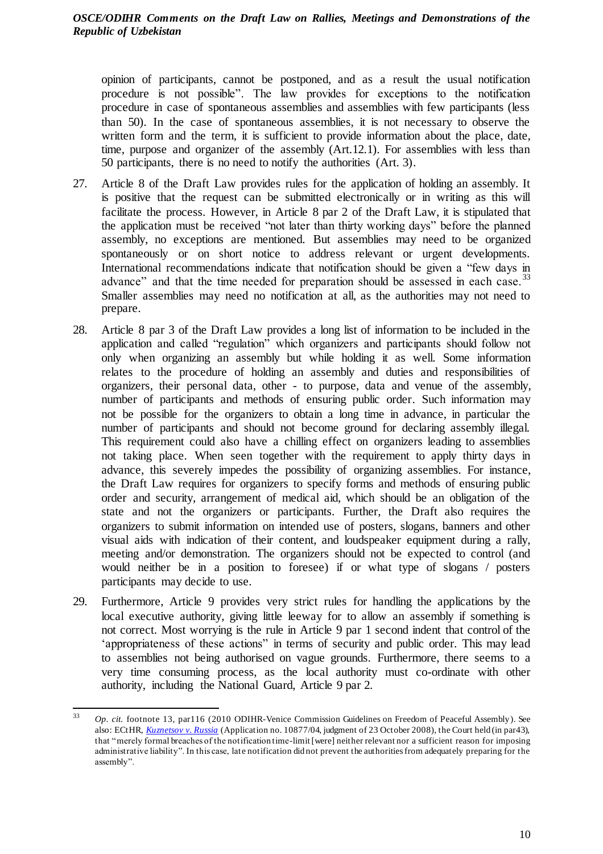opinion of participants, cannot be postponed, and as a result the usual notification procedure is not possible". The law provides for exceptions to the notification procedure in case of spontaneous assemblies and assemblies with few participants (less than 50). In the case of spontaneous assemblies, it is not necessary to observe the written form and the term, it is sufficient to provide information about the place, date, time, purpose and organizer of the assembly (Art.12.1). For assemblies with less than 50 participants, there is no need to notify the authorities (Art. 3).

- 27. Article 8 of the Draft Law provides rules for the application of holding an assembly. It is positive that the request can be submitted electronically or in writing as this will facilitate the process. However, in Article 8 par 2 of the Draft Law, it is stipulated that the application must be received "not later than thirty working days" before the planned assembly, no exceptions are mentioned. But assemblies may need to be organized spontaneously or on short notice to address relevant or urgent developments. International recommendations indicate that notification should be given a "few days in advance" and that the time needed for preparation should be assessed in each case.<sup>33</sup> Smaller assemblies may need no notification at all, as the authorities may not need to prepare.
- 28. Article 8 par 3 of the Draft Law provides a long list of information to be included in the application and called "regulation" which organizers and participants should follow not only when organizing an assembly but while holding it as well. Some information relates to the procedure of holding an assembly and duties and responsibilities of organizers, their personal data, other - to purpose, data and venue of the assembly, number of participants and methods of ensuring public order. Such information may not be possible for the organizers to obtain a long time in advance, in particular the number of participants and should not become ground for declaring assembly illegal. This requirement could also have a chilling effect on organizers leading to assemblies not taking place. When seen together with the requirement to apply thirty days in advance, this severely impedes the possibility of organizing assemblies. For instance, the Draft Law requires for organizers to specify forms and methods of ensuring public order and security, arrangement of medical aid, which should be an obligation of the state and not the organizers or participants. Further, the Draft also requires the organizers to submit information on intended use of posters, slogans, banners and other visual aids with indication of their content, and loudspeaker equipment during a rally, meeting and/or demonstration. The organizers should not be expected to control (and would neither be in a position to foresee) if or what type of slogans / posters participants may decide to use.
- 29. Furthermore, Article 9 provides very strict rules for handling the applications by the local executive authority, giving little leeway for to allow an assembly if something is not correct. Most worrying is the rule in Article 9 par 1 second indent that control of the 'appropriateness of these actions" in terms of security and public order. This may lead to assemblies not being authorised on vague grounds. Furthermore, there seems to a very time consuming process, as the local authority must co-ordinate with other authority, including the National Guard, Article 9 par 2.

<sup>33</sup> <sup>33</sup> *Op. cit.* footnote 13, par116 (2010 ODIHR-Venice Commission Guidelines on Freedom of Peaceful Assembly). See also: ECtHR, *[Kuznetsov v. Russia](http://hudoc.echr.coe.int/rus?i=001-89066)* (Application no. 10877/04, judgment of 23 October 2008), the Court held (in par43), that "merely formal breaches of the notification time-limit [were] neither relevant nor a sufficient reason for imposing administrative liability". In this case, late notification did not prevent the authorities from adequately preparing for the assembly".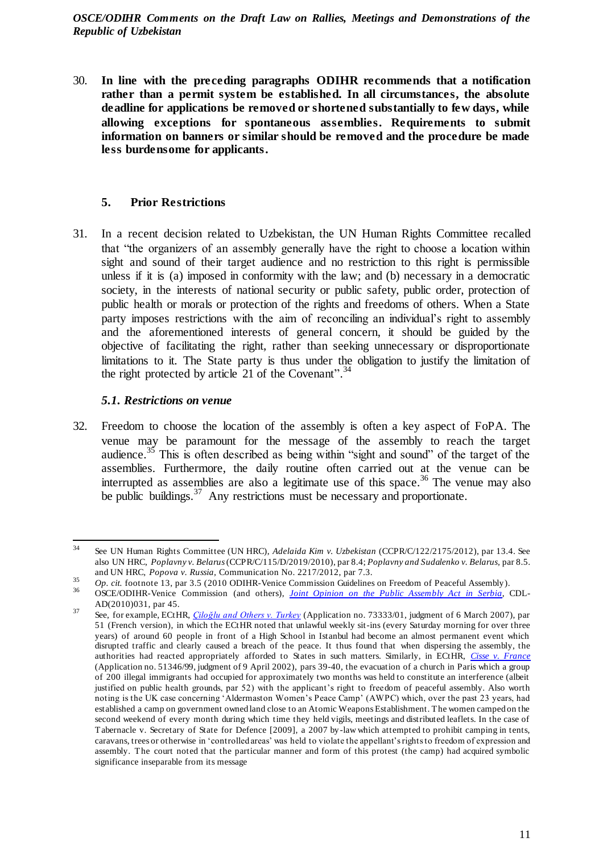30. **In line with the preceding paragraphs ODIHR recommends that a notification rather than a permit system be established. In all circumstances, the absolute deadline for applications be removed or shortened substantially to few days, while allowing exceptions for spontaneous assemblies. Requirements to submit information on banners or similar should be removed and the procedure be made less burdensome for applicants.** 

# <span id="page-10-0"></span>**5. Prior Restrictions**

31. In a recent decision related to Uzbekistan, the UN Human Rights Committee recalled that "the organizers of an assembly generally have the right to choose a location within sight and sound of their target audience and no restriction to this right is permissible unless if it is (a) imposed in conformity with the law; and (b) necessary in a democratic society, in the interests of national security or public safety, public order, protection of public health or morals or protection of the rights and freedoms of others. When a State party imposes restrictions with the aim of reconciling an individual's right to assembly and the aforementioned interests of general concern, it should be guided by the objective of facilitating the right, rather than seeking unnecessary or disproportionate limitations to it. The State party is thus under the obligation to justify the limitation of the right protected by article 21 of the Covenant".<sup>34</sup>

# *5.1. Restrictions on venue*

<span id="page-10-1"></span>32. Freedom to choose the location of the assembly is often a key aspect of FoPA. The venue may be paramount for the message of the assembly to reach the target audience.<sup>35</sup> This is often described as being within "sight and sound" of the target of the assemblies. Furthermore, the daily routine often carried out at the venue can be interrupted as assemblies are also a legitimate use of this space.<sup>36</sup> The venue may also be public buildings. $37$  Any restrictions must be necessary and proportionate.

 34 See UN Human Rights Committee (UN HRC), *Adelaida Kim v. Uzbekistan* (CCPR/C/122/2175/2012), par 13.4. See also UN HRC, *Poplavny v. Belarus*(CCPR/C/115/D/2019/2010), par 8.4; *Poplavny and Sudalenko v. Belarus,* par 8.5. and UN HRC, *Popova v. Russia,* Communication No. 2217/2012, par 7.3.

<sup>35</sup> *Op. cit.* footnote 13, par 3.5 (2010 ODIHR-Venice Commission Guidelines on Freedom of Peaceful Assembly).

<sup>36</sup> OSCE/ODIHR-Venice Commission (and others), *[Joint Opinion on the Public Assembly Act](https://www.legislationline.org/download/action/download/id/3118/file/Joint%20Opinion%20on%20the%20Public%20Assembly%20Act%20of%20Serbia_18%20Oct%202010.pdf) in Serbia*, CDL-AD(2010)031, par 45.

<sup>37</sup> See, for example, ECtHR, *[Çiloğlu and Others v. Turkey](http://hudoc.echr.coe.int/rus?i=001-79664)* (Application no. 73333/01, judgment of 6 March 2007), par 51 (French version), in which the ECtHR noted that unlawful weekly sit-ins (every Saturday morning for over three years) of around 60 people in front of a High School in Istanbul had become an almost permanent event which disrupted traffic and clearly caused a breach of the peace. It thus found that when dispersing the assembly, the authorities had reacted appropriately afforded to States in such matters. Similarly, in ECtHR, *[Cisse v. France](http://hudoc.echr.coe.int/rus?i=001-60413)* (Application no. 51346/99, judgment of 9 April 2002), pars 39-40, the evacuation of a church in Paris which a group of 200 illegal immigrants had occupied for approximately two months was held to constitute an interference (albeit justified on public health grounds, par 52) with the applicant's right to freedom of peaceful assembly. Also worth noting is the UK case concerning 'Aldermaston Women's Peace Camp' (AWPC) which, over the past 23 years, had established a camp on government owned land close to an Atomic Weapons Establishment. The women camped on the second weekend of every month during which time they held vigils, meetings and distributed leaflets. In the case of Tabernacle v. Secretary of State for Defence [2009], a 2007 by -law which attempted to prohibit camping in tents, caravans, trees or otherwise in 'controlled areas' was held to violate the appellant's rights to freedom of expression and assembly. The court noted that the particular manner and form of this protest (the camp) had acquired symbolic significance inseparable from its message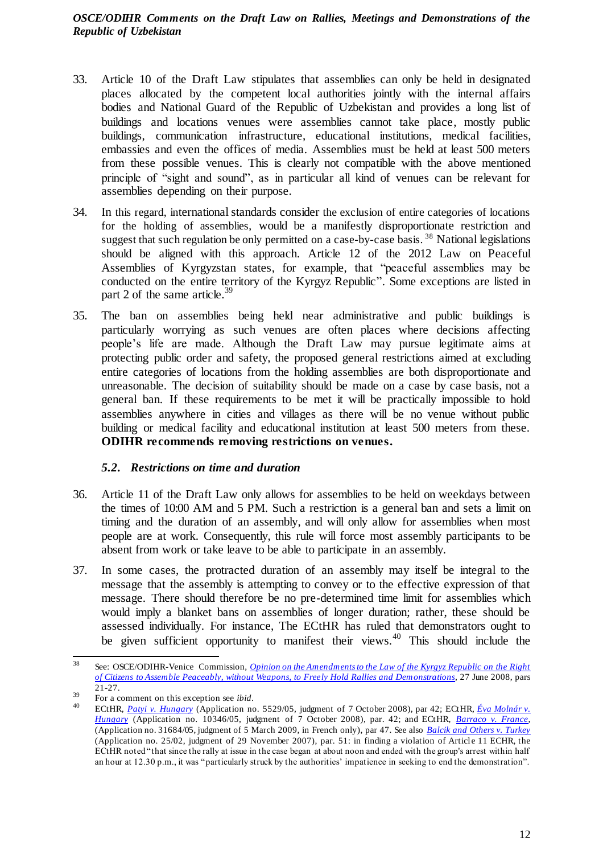- 33. Article 10 of the Draft Law stipulates that assemblies can only be held in designated places allocated by the competent local authorities jointly with the internal affairs bodies and National Guard of the Republic of Uzbekistan and provides a long list of buildings and locations venues were assemblies cannot take place, mostly public buildings, communication infrastructure, educational institutions, medical facilities, embassies and even the offices of media. Assemblies must be held at least 500 meters from these possible venues. This is clearly not compatible with the above mentioned principle of "sight and sound", as in particular all kind of venues can be relevant for assemblies depending on their purpose.
- 34. In this regard, international standards consider the exclusion of entire categories of locations for the holding of assemblies, would be a manifestly disproportionate restriction and suggest that such regulation be only permitted on a case-by-case basis.<sup>38</sup> National legislations should be aligned with this approach. Article 12 of the 2012 Law on Peaceful Assemblies of Kyrgyzstan states, for example, that "peaceful assemblies may be conducted on the entire territory of the Kyrgyz Republic". Some exceptions are listed in part 2 of the same article.<sup>39</sup>
- 35. The ban on assemblies being held near administrative and public buildings is particularly worrying as such venues are often places where decisions affecting people's life are made. Although the Draft Law may pursue legitimate aims at protecting public order and safety, the proposed general restrictions aimed at excluding entire categories of locations from the holding assemblies are both disproportionate and unreasonable. The decision of suitability should be made on a case by case basis, not a general ban. If these requirements to be met it will be practically impossible to hold assemblies anywhere in cities and villages as there will be no venue without public building or medical facility and educational institution at least 500 meters from these. **ODIHR recommends removing restrictions on venues.**

# <span id="page-11-0"></span>*5.2. Restrictions on time and duration*

- 36. Article 11 of the Draft Law only allows for assemblies to be held on weekdays between the times of 10:00 AM and 5 PM. Such a restriction is a general ban and sets a limit on timing and the duration of an assembly, and will only allow for assemblies when most people are at work. Consequently, this rule will force most assembly participants to be absent from work or take leave to be able to participate in an assembly.
- 37. In some cases, the protracted duration of an assembly may itself be integral to the message that the assembly is attempting to convey or to the effective expression of that message. There should therefore be no pre-determined time limit for assemblies which would imply a blanket bans on assemblies of longer duration; rather, these should be assessed individually. For instance, The ECtHR has ruled that demonstrators ought to be given sufficient opportunity to manifest their views.<sup>40</sup> This should include the

<sup>38</sup> <sup>38</sup> See: OSCE/ODIHR-Venice Commission, *[Opinion on the Amendments to the Law of the Kyrgyz Republic on the Right](https://www.legislationline.org/download/action/download/id/824/file/test.pdf)  [of Citizens to Assemble Peaceably, without Weapons, to Freely Hold Rallies and Demonstrations](https://www.legislationline.org/download/action/download/id/824/file/test.pdf)*, 27 June 2008, pars 21-27.

<sup>39</sup> For a comment on this exception see *ibid*.

<sup>40</sup> ECtHR, *[Patyi v. Hungary](http://hudoc.echr.coe.int/rus?i=001-88748)* (Application no. 5529/05, judgment of 7 October 2008), par 42; ECtHR, *[Éva Molnár v.](http://hudoc.echr.coe.int/rus?i=001-88775)  [Hungary](http://hudoc.echr.coe.int/rus?i=001-88775)* (Application no. 10346/05, judgment of 7 October 2008), par. 42; and ECtHR, *[Barraco v. France](http://hudoc.echr.coe.int/rus?i=001-91570)*, (Application no. 31684/05, judgment of 5 March 2009, in French only), par 47. See also *[Balcik and Others v. Turkey](http://hudoc.echr.coe.int/rus?i=001-83580)* (Application no. 25/02, judgment of 29 November 2007), par. 51: in finding a violation of Article 11 ECHR, the ECtHR noted "that since the rally at issue in the case began at about noon and ended with the group's arrest within half an hour at 12.30 p.m., it was "particularly struck by the authorities' impatience in seeking to end the demonstration".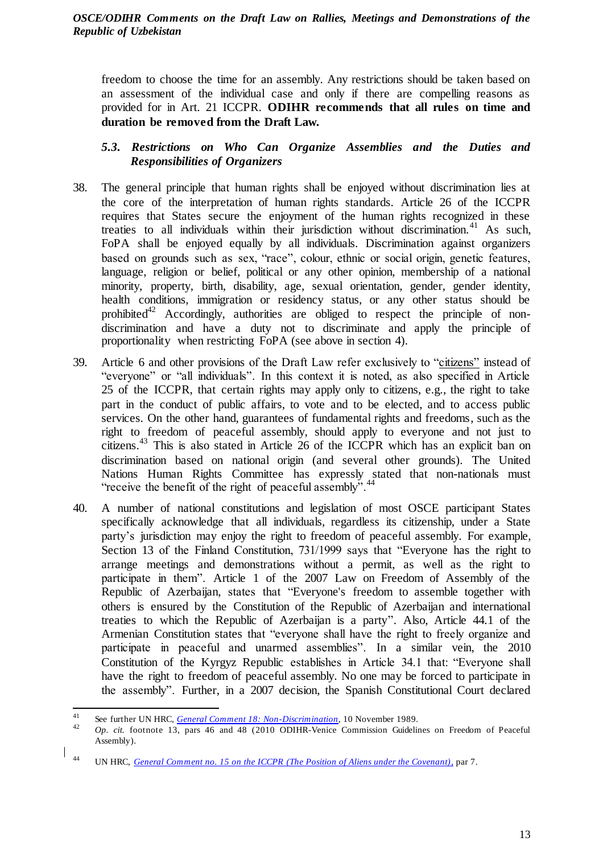freedom to choose the time for an assembly. Any restrictions should be taken based on an assessment of the individual case and only if there are compelling reasons as provided for in Art. 21 ICCPR. **ODIHR recommends that all rules on time and duration be removed from the Draft Law.**

# <span id="page-12-0"></span>*5.3. Restrictions on Who Can Organize Assemblies and the Duties and Responsibilities of Organizers*

- 38. The general principle that human rights shall be enjoyed without discrimination lies at the core of the interpretation of human rights standards. Article 26 of the ICCPR requires that States secure the enjoyment of the human rights recognized in these treaties to all individuals within their jurisdiction without discrimination.<sup>41</sup> As such, FoPA shall be enjoyed equally by all individuals. Discrimination against organizers based on grounds such as sex, "race", colour, ethnic or social origin, genetic features, language, religion or belief, political or any other opinion, membership of a national minority, property, birth, disability, age, sexual orientation, gender, gender identity, health conditions, immigration or residency status, or any other status should be prohibited<sup>42</sup> Accordingly, authorities are obliged to respect the principle of nondiscrimination and have a duty not to discriminate and apply the principle of proportionality when restricting FoPA (see above in section 4).
- 39. Article 6 and other provisions of the Draft Law refer exclusively to "citizens" instead of "everyone" or "all individuals". In this context it is noted, as also specified in Article 25 of the ICCPR, that certain rights may apply only to citizens, e.g., the right to take part in the conduct of public affairs, to vote and to be elected, and to access public services. On the other hand, guarantees of fundamental rights and freedoms, such as the right to freedom of peaceful assembly, should apply to everyone and not just to citizens. <sup>43</sup> This is also stated in Article 26 of the ICCPR which has an explicit ban on discrimination based on national origin (and several other grounds). The United Nations Human Rights Committee has expressly stated that non-nationals must "receive the benefit of the right of peaceful assembly".
- 40. A number of national constitutions and legislation of most OSCE participant States specifically acknowledge that all individuals, regardless its citizenship, under a State party's jurisdiction may enjoy the right to freedom of peaceful assembly. For example, Section 13 of the Finland Constitution, 731/1999 says that "Everyone has the right to arrange meetings and demonstrations without a permit, as well as the right to participate in them". Article 1 of the 2007 Law on Freedom of Assembly of the Republic of Azerbaijan, states that "Everyone's freedom to assemble together with others is ensured by the Constitution of the Republic of Azerbaijan and international treaties to which the Republic of Azerbaijan is a party". Also, Article 44.1 of the Armenian Constitution states that "everyone shall have the right to freely organize and participate in peaceful and unarmed assemblies". In a similar vein, the 2010 Constitution of the Kyrgyz Republic establishes in Article 34.1 that: "Everyone shall have the right to freedom of peaceful assembly. No one may be forced to participate in the assembly". Further, in a 2007 decision, the Spanish Constitutional Court declared

<sup>41</sup> <sup>41</sup> See further UN HRC, *[General Comment 18: Non-Discrimination](https://tbinternet.ohchr.org/_layouts/15/treatybodyexternal/Download.aspx?symbolno=INT%2fCCPR%2fGEC%2f6622&Lang=en)*, 10 November 1989.

<sup>42</sup> *Op. cit.* footnote 13, pars 46 and 48 (2010 ODIHR-Venice Commission Guidelines on Freedom of Peaceful Assembly).

 $\begin{array}{c} \n\end{array}$ UN HRC, *[General Comment no. 15 on the ICCPR \(The Position of Aliens under the Covenan](https://tbinternet.ohchr.org/_layouts/15/treatybodyexternal/Download.aspx?symbolno=INT%2fCCPR%2fGEC%2f6625&Lang=en)t),* par 7.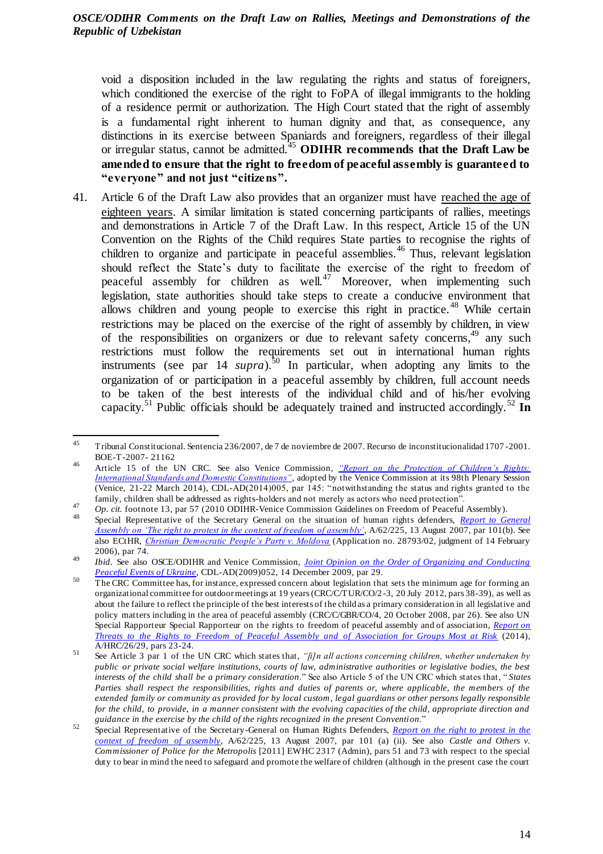void a disposition included in the law regulating the rights and status of foreigners, which conditioned the exercise of the right to FoPA of illegal immigrants to the holding of a residence permit or authorization. The High Court stated that the right of assembly is a fundamental right inherent to human dignity and that, as consequence, any distinctions in its exercise between Spaniards and foreigners, regardless of their illegal or irregular status, cannot be admitted.<sup>45</sup> **ODIHR recommends that the Draft Law be amended to ensure that the right to freedom of peaceful assembly is guaranteed to "everyone" and not just "citizens".**

41. Article 6 of the Draft Law also provides that an organizer must have reached the age of eighteen years. A similar limitation is stated concerning participants of rallies, meetings and demonstrations in Article 7 of the Draft Law. In this respect, Article 15 of the UN Convention on the Rights of the Child requires State parties to recognise the rights of children to organize and participate in peaceful assemblies.<sup>46</sup> Thus, relevant legislation should reflect the State's duty to facilitate the exercise of the right to freedom of peaceful assembly for children as well.<sup>47</sup> Moreover, when implementing such legislation, state authorities should take steps to create a conducive environment that allows children and young people to exercise this right in practice.<sup>48</sup> While certain restrictions may be placed on the exercise of the right of assembly by children, in view of the responsibilities on organizers or due to relevant safety concerns,  $49$  any such restrictions must follow the requirements set out in international human rights instruments (see par 14 *supra*). <sup>50</sup> In particular, when adopting any limits to the organization of or participation in a peaceful assembly by children, full account needs to be taken of the best interests of the individual child and of his/her evolving capacity.<sup>51</sup> Public officials should be adequately trained and instructed accordingly.<sup>52</sup> **In** 

 45 Tribunal Constitucional. Sentencia 236/2007, de 7 de noviembre de 2007. Recurso de inconstitucionalidad 1707 -2001. BOE-T-2007- 21162

<sup>46</sup> Article 15 of the UN CRC. See also Venice Commission*, ["Report on the Protection of Children's Rights:](https://www.venice.coe.int/webforms/documents/?pdf=CDL-AD(2014)005-e)  [International Standards and Domestic Constitutions",](https://www.venice.coe.int/webforms/documents/?pdf=CDL-AD(2014)005-e)* adopted by the Venice Commission at its 98th Plenary Session (Venice, 21-22 March 2014), CDL-AD(2014)005, par 145: "notwithstanding the status and rights granted to the family, children shall be addressed as rights-holders and not merely as actors who need protection".

<sup>47</sup> *Op. cit.* footnote 13, par 57 (2010 ODIHR-Venice Commission Guidelines on Freedom of Peaceful Assembly).

<sup>48</sup> Special Representative of the Secretary General on the situation of human rights defenders, *[Report to General](https://undocs.org/A/62/225)  [Assembly on 'The right to protest in the context of freedom of assembly'](https://undocs.org/A/62/225)*, A/62/225, 13 August 2007, par 101(b). See also ECtHR, *[Christian Democratic People's Party v. Moldova](http://hudoc.echr.coe.int/eng?i=001-72346)* (Application no. 28793/02, judgment of 14 February 2006), par 74.

<sup>49</sup> *Ibid*. See also OSCE/ODIHR and Venice Commission, *[Joint Opinion on the Order of Organizing and Conducting](https://www.legislationline.org/documents/id/16027)  [Peaceful Events of Ukraine](https://www.legislationline.org/documents/id/16027)*, CDL-AD(2009)052, 14 December 2009, par 29.

<sup>&</sup>lt;sup>50</sup> The CRC Committee has, for instance, expressed concern about legislation that sets the minimum age for forming an organizational committee for outdoor meetings at 19 years (CRC/C/TUR/CO/2-3, 20 July 2012, pars 38-39), as well as about the failure to reflect the principle of the best interests of the child as a primary consideration in all legislative and policy matters including in the area of peaceful assembly (CRC/C/GBR/CO/4, 20 October 2008, par 26). See also UN Special Rapporteur Special Rapporteur on the rights to freedom of peaceful assembly and of association, *[Report on](https://undocs.org/en/A/HRC/26/29)  [Threats to the Rights to Freedom of Peaceful Assembly and of Association for Groups Most at Risk](https://undocs.org/en/A/HRC/26/29)* (2014), A/HRC/26/29, pars 23-24.

<sup>51</sup> See Article 3 par 1 of the UN CRC which states that, *"[i]n all actions concerning children, whether undertaken by public or private social welfare institutions, courts of law, administrative authorities or legislative bodies, the best interests of the child shall be a primary consideration*." See also Article 5 of the UN CRC which states that, " *States Parties shall respect the responsibilities, rights and duties of parents or, where applicable, the members of the extended family or community as provided for by local custom, legal guardians or other persons legally responsible for the child, to provide, in a manner consistent with the evolving capacities of the child, appropriate direction and guidance in the exercise by the child of the rights recognized in the present Convention*."

<sup>52</sup> Special Representative of the Secretary-General on Human Rights Defenders, *[Report on the right to protest in the](https://undocs.org/A/62/225)  [context of freedom of assembly](https://undocs.org/A/62/225)*, A/62/225, 13 August 2007, par 101 (a) (ii). See also *Castle and Others v. Commissioner of Police for the Metropolis* [2011] EWHC 2317 (Admin), pars 51 and 73 with respect to the special duty to bear in mind the need to safeguard and promote the welfare of children (although in the present case the court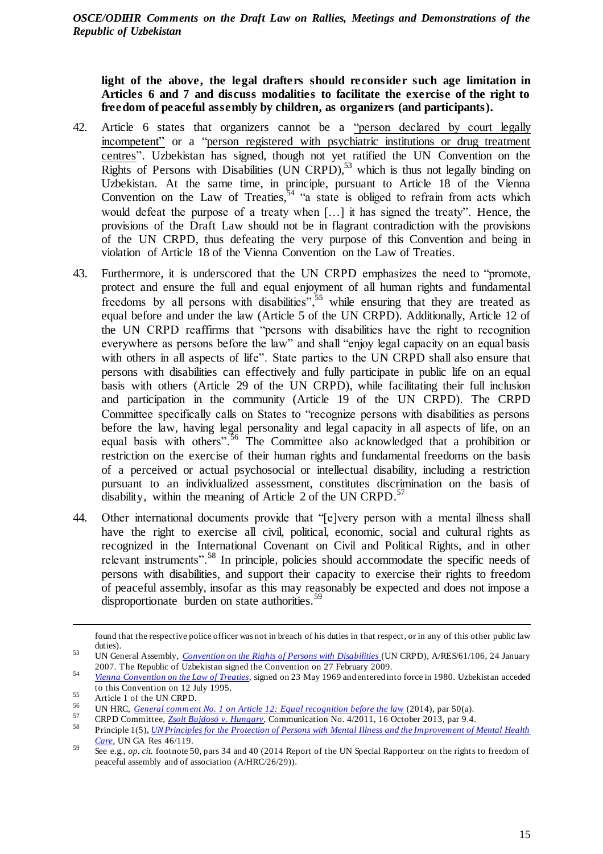**light of the above, the legal drafters should reconsider such age limitation in Articles 6 and 7 and discuss modalities to facilitate the exercise of the right to freedom of peaceful assembly by children, as organizers (and participants).**

- 42. Article 6 states that organizers cannot be a "person declared by court legally incompetent" or a "person registered with psychiatric institutions or drug treatment centres". Uzbekistan has signed, though not yet ratified the UN Convention on the  $\overline{\text{Right}}$  of Persons with Disabilities (UN CRPD),<sup>53</sup> which is thus not legally binding on Uzbekistan. At the same time, in principle, pursuant to Article 18 of the Vienna Convention on the Law of Treaties,  $54$  "a state is obliged to refrain from acts which would defeat the purpose of a treaty when […] it has signed the treaty". Hence, the provisions of the Draft Law should not be in flagrant contradiction with the provisions of the UN CRPD, thus defeating the very purpose of this Convention and being in violation of Article 18 of the Vienna Convention on the Law of Treaties.
- 43. Furthermore, it is underscored that the UN CRPD emphasizes the need to "promote, protect and ensure the full and equal enjoyment of all human rights and fundamental freedoms by all persons with disabilities",  $55$  while ensuring that they are treated as equal before and under the law (Article 5 of the UN CRPD). Additionally, Article 12 of the UN CRPD reaffirms that "persons with disabilities have the right to recognition everywhere as persons before the law" and shall "enjoy legal capacity on an equal basis with others in all aspects of life". State parties to the UN CRPD shall also ensure that persons with disabilities can effectively and fully participate in public life on an equal basis with others (Article 29 of the UN CRPD), while facilitating their full inclusion and participation in the community (Article 19 of the UN CRPD). The CRPD Committee specifically calls on States to "recognize persons with disabilities as persons before the law, having legal personality and legal capacity in all aspects of life, on an equal basis with others".<sup>56</sup> The Committee also acknowledged that a prohibition or restriction on the exercise of their human rights and fundamental freedoms on the basis of a perceived or actual psychosocial or intellectual disability, including a restriction pursuant to an individualized assessment, constitutes discrimination on the basis of disability, within the meaning of Article 2 of the UN CRPD.<sup>57</sup>
- 44. Other international documents provide that "[e]very person with a mental illness shall have the right to exercise all civil, political, economic, social and cultural rights as recognized in the International Covenant on Civil and Political Rights, and in other relevant instruments".<sup>58</sup> In principle, policies should accommodate the specific needs of persons with disabilities, and support their capacity to exercise their rights to freedom of peaceful assembly, insofar as this may reasonably be expected and does not impose a disproportionate burden on state authorities.<sup>59</sup>

1

found that the respective police officer was not in breach of his duties in that respect, or in any of this other public law duties).

<sup>53</sup> UN General Assembly, *[Convention on the Rights of Persons with Disabilities](https://www.un.org/development/desa/disabilities/convention-on-the-rights-of-persons-with-disabilities.html)* (UN CRPD), A/RES/61/106, 24 January 2007. The Republic of Uzbekistan signed the Convention on 27 February 2009.

<sup>54</sup> *[Vienna Convention on the Law of Treaties](https://treaties.un.org/Pages/ViewDetailsIII.aspx?src=TREATY&mtdsg_no=XXIII-1&chapter=23&Temp=mtdsg3&clang=_en)*, signed on 23 May 1969 and entered into force in 1980. Uzbekistan acceded to this Convention on 12 July 1995.

 $55$  Article 1 of the UN CRPD.

<sup>56</sup> UN HRC, *[General comment No. 1 on Article 12: Equal recognition before the law](https://tbinternet.ohchr.org/_layouts/15/treatybodyexternal/Download.aspx?symbolno=CRPD/C/GC/1&Lang=en)* (2014), par 50(a).

<sup>57</sup> <sup>57</sup> CRPD Committee, *[Zsolt Bujdosó v. Hungary](https://tbinternet.ohchr.org/_layouts/15/treatybodyexternal/Download.aspx?symbolno=CRPD/C/10/D/4/2011&Lang=en)*, Communication No. 4/2011, 16 October 2013, par 9.4.

<sup>58</sup> Principle 1(5), *[UN Principles for the Protection of Persons with Mental Illness and the Improvement of Mental Health](https://www.who.int/mental_health/policy/en/UN_Resolution_on_protection_of_persons_with_mental_illness.pdf)  [Care](https://www.who.int/mental_health/policy/en/UN_Resolution_on_protection_of_persons_with_mental_illness.pdf)*, UN GA Res 46/119.

<sup>59</sup> See e.g., *op. cit.* footnote 50, pars 34 and 40 (2014 Report of the UN Special Rapporteur on the rights to freedom of peaceful assembly and of association (A/HRC/26/29)).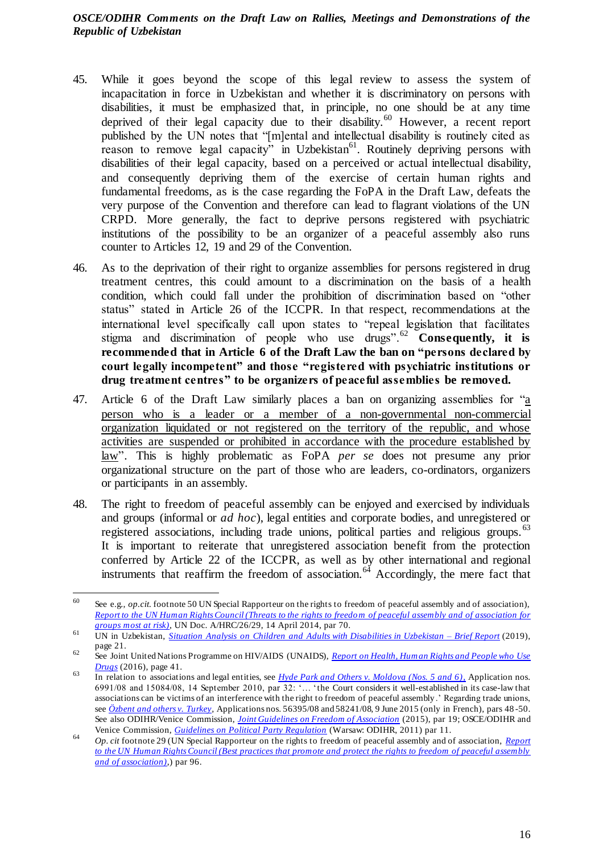- 45. While it goes beyond the scope of this legal review to assess the system of incapacitation in force in Uzbekistan and whether it is discriminatory on persons with disabilities, it must be emphasized that, in principle, no one should be at any time deprived of their legal capacity due to their disability.<sup>60</sup> However, a recent report published by the UN notes that "[m]ental and intellectual disability is routinely cited as reason to remove legal capacity" in Uzbekistan<sup>61</sup>. Routinely depriving persons with disabilities of their legal capacity, based on a perceived or actual intellectual disability, and consequently depriving them of the exercise of certain human rights and fundamental freedoms, as is the case regarding the FoPA in the Draft Law, defeats the very purpose of the Convention and therefore can lead to flagrant violations of the UN CRPD. More generally, the fact to deprive persons registered with psychiatric institutions of the possibility to be an organizer of a peaceful assembly also runs counter to Articles 12, 19 and 29 of the Convention.
- 46. As to the deprivation of their right to organize assemblies for persons registered in drug treatment centres, this could amount to a discrimination on the basis of a health condition, which could fall under the prohibition of discrimination based on "other status" stated in Article 26 of the ICCPR. In that respect, recommendations at the international level specifically call upon states to "repeal legislation that facilitates stigma and discrimination of people who use drugs".<sup>62</sup> **Consequently, it is recommended that in Article 6 of the Draft Law the ban on "persons declared by court legally incompetent" and those "registered with psychiatric institutions or drug treatment centres" to be organizers of peaceful assemblies be removed.**
- 47. Article 6 of the Draft Law similarly places a ban on organizing assemblies for "a person who is a leader or a member of a non-governmental non-commercial organization liquidated or not registered on the territory of the republic, and whose activities are suspended or prohibited in accordance with the procedure established by law". This is highly problematic as FoPA *per se* does not presume any prior organizational structure on the part of those who are leaders, co-ordinators, organizers or participants in an assembly.
- 48. The right to freedom of peaceful assembly can be enjoyed and exercised by individuals and groups (informal or *ad hoc*), legal entities and corporate bodies, and unregistered or registered associations, including trade unions, political parties and religious groups. <sup>63</sup> It is important to reiterate that unregistered association benefit from the protection conferred by Article 22 of the ICCPR, as well as by other international and regional instruments that reaffirm the freedom of association. $64$  Accordingly, the mere fact that

<sup>60</sup> See e.g., *op.cit.* footnote 50 UN Special Rapporteur on the rights to freedom of peaceful assembly and of association), *[Report to the UN Human Rights Council \(Threats to the rights to freedom of peaceful assembly and of association for](https://www.ohchr.org/EN/Issues/AssemblyAssociation/Pages/AnnualReports.aspx)  [groups most at risk\)](https://www.ohchr.org/EN/Issues/AssemblyAssociation/Pages/AnnualReports.aspx)*, UN Doc. A/HRC/26/29, 14 April 2014, par 70.

<sup>61</sup> UN in Uzbekistan, *Situation Analysis [on Children and Adults with Disabilities in Uzbekistan –](http://www.un.uz/files/UN%20Brief%20Report%20Disabilities/Brief_report_UN_en_UNColor.pdf) Brief Report* (2019), page 21.

<sup>62</sup> See Joint United Nations Programme on HIV/AIDS (UNAIDS), *[Report on Health, Human Rights and People who Use](https://www.unaids.org/sites/default/files/media_asset/donoharm_en.pdf)  [Drugs](https://www.unaids.org/sites/default/files/media_asset/donoharm_en.pdf)* (2016), page 41.

<sup>63</sup> In relation to associations and legal entities, see *[Hyde Park and Others v. Moldova \(Nos. 5 and 6\)](http://hudoc.echr.coe.int/eng?i=001-100404)*, Application nos. 6991/08 and 15084/08, 14 September 2010, par 32: '… 'the Court considers it well-established in its case-law that associations can be victims of an interference with the right to freedom of peaceful assembly .' Regarding trade unions, see *[Özbent and others v. Turkey,](http://hudoc.echr.coe.int/eng?i=001-155100)* Applications nos. 56395/08 and 58241/08, 9 June 2015 (only in French), pars 48 -50. See also ODIHR/Venice Commission, *[Joint Guidelines on Freedom of Association](https://www.legislationline.org/download/id/8056/file/Guidelines_Freedom_of_Association_en.pdf)* (2015), par 19; OSCE/ODIHR and Venice Commission, *[Guidelines on Political Party Regulation](https://www.legislationline.org/download/id/8049/file/Guidelines%20on%20Political%20Party%20Regulation%202010_en.pdf)* (Warsaw: ODIHR, 2011) par 11.

<sup>64</sup> *Op. cit* footnote 29 (UN Special Rapporteur on the rights to freedom of peaceful assembly and of association, *[Report](http://www.ohchr.org/documents/hrbodies/hrcouncil/%20regularsession/session20/a-hrc-20-27_en.pdf)  [to the UN Human Rights Council \(Best practices that promote and protect the rights to freedom of peaceful assembly](http://www.ohchr.org/documents/hrbodies/hrcouncil/%20regularsession/session20/a-hrc-20-27_en.pdf)  [and of association\)](http://www.ohchr.org/documents/hrbodies/hrcouncil/%20regularsession/session20/a-hrc-20-27_en.pdf)*,) par 96.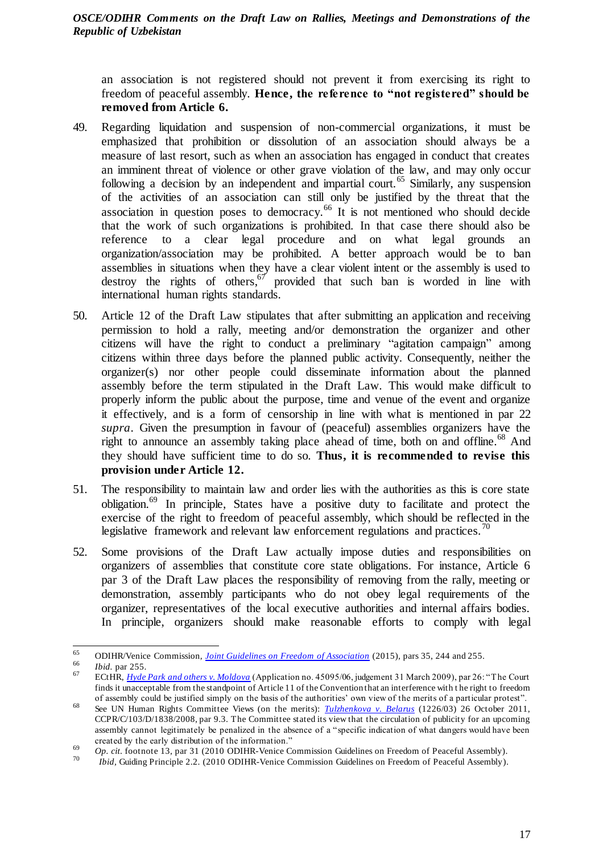an association is not registered should not prevent it from exercising its right to freedom of peaceful assembly. **Hence, the reference to "not registered" should be removed from Article 6.**

- 49. Regarding liquidation and suspension of non-commercial organizations, it must be emphasized that prohibition or dissolution of an association should always be a measure of last resort, such as when an association has engaged in conduct that creates an imminent threat of violence or other grave violation of the law, and may only occur following a decision by an independent and impartial court.<sup>65</sup> Similarly, any suspension of the activities of an association can still only be justified by the threat that the association in question poses to democracy.<sup>66</sup> It is not mentioned who should decide that the work of such organizations is prohibited. In that case there should also be reference to a clear legal procedure and on what legal grounds an organization/association may be prohibited. A better approach would be to ban assemblies in situations when they have a clear violent intent or the assembly is used to destroy the rights of others,  $67$  provided that such ban is worded in line with international human rights standards.
- 50. Article 12 of the Draft Law stipulates that after submitting an application and receiving permission to hold a rally, meeting and/or demonstration the organizer and other citizens will have the right to conduct a preliminary "agitation campaign" among citizens within three days before the planned public activity. Consequently, neither the organizer(s) nor other people could disseminate information about the planned assembly before the term stipulated in the Draft Law. This would make difficult to properly inform the public about the purpose, time and venue of the event and organize it effectively, and is a form of censorship in line with what is mentioned in par 22 *supra*. Given the presumption in favour of (peaceful) assemblies organizers have the right to announce an assembly taking place ahead of time, both on and offline.<sup>68</sup> And they should have sufficient time to do so. **Thus, it is recommended to revise this provision under Article 12.**
- 51. The responsibility to maintain law and order lies with the authorities as this is core state obligation.<sup>69</sup> In principle, States have a positive duty to facilitate and protect the exercise of the right to freedom of peaceful assembly, which should be reflected in the legislative framework and relevant law enforcement regulations and practices.<sup>70</sup>
- 52. Some provisions of the Draft Law actually impose duties and responsibilities on organizers of assemblies that constitute core state obligations. For instance, Article 6 par 3 of the Draft Law places the responsibility of removing from the rally, meeting or demonstration, assembly participants who do not obey legal requirements of the organizer, representatives of the local executive authorities and internal affairs bodies. In principle, organizers should make reasonable efforts to comply with legal

<sup>65</sup> <sup>65</sup> ODIHR/Venice Commission, *[Joint Guidelines on Freedom of Association](https://www.legislationline.org/download/id/8056/file/Guidelines_Freedom_of_Association_en.pdf)* (2015), pars 35, 244 and 255.

*Ibid.* par 255.

<sup>67</sup> ECtHR, *[Hyde Park and others v. Moldova](http://hudoc.echr.coe.int/rus?i=001-91941)* (Application no. 45095/06, judgement 31 March 2009), par 26: "The Court finds it unacceptable from the standpoint of Article 11 of the Convention that an interference with t he right to freedom of assembly could be justified simply on the basis of the authorities' own view of the merits of a particular protest".

<sup>68</sup> See UN Human Rights Committee Views (on the merits): *[Tulzhenkova v. Belarus](https://tbinternet.ohchr.org/_layouts/15/treatybodyexternal/Download.aspx?symbolno=CCPR%2FC%2F103%2FD%2F1838%2F2008&Lang=en)* (1226/03) 26 October 2011, CCPR/C/103/D/1838/2008, par 9.3. The Committee stated its view that the circulation of publicity for an upcoming assembly cannot legitimately be penalized in the absence of a "specific indication of what dangers would have been created by the early distribution of the information."

<sup>69</sup> *Op. cit*. footnote 13, par 31 (2010 ODIHR-Venice Commission Guidelines on Freedom of Peaceful Assembly).

<sup>70</sup> *Ibid,* Guiding Principle 2.2. (2010 ODIHR-Venice Commission Guidelines on Freedom of Peaceful Assembly).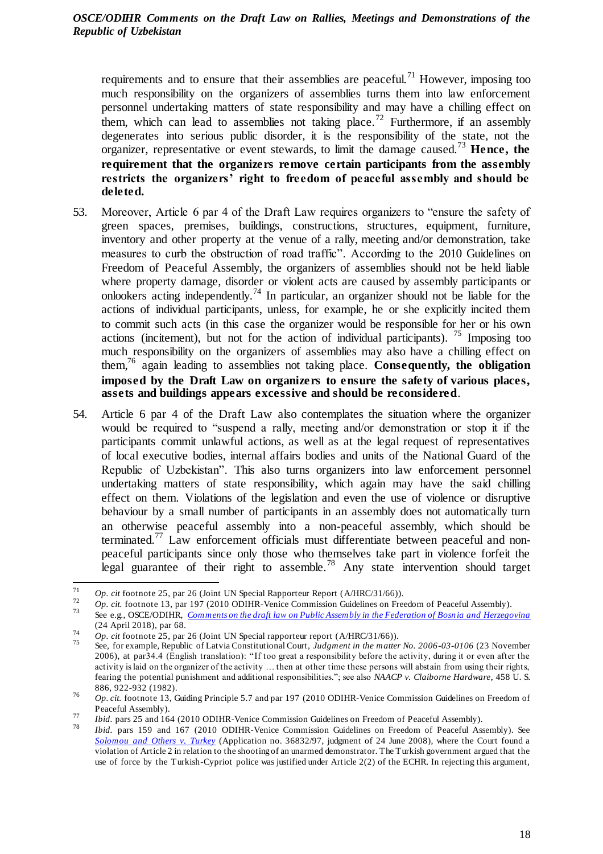requirements and to ensure that their assemblies are peaceful.<sup>71</sup> However, imposing too much responsibility on the organizers of assemblies turns them into law enforcement personnel undertaking matters of state responsibility and may have a chilling effect on them, which can lead to assemblies not taking place.<sup>72</sup> Furthermore, if an assembly degenerates into serious public disorder, it is the responsibility of the state, not the organizer, representative or event stewards, to limit the damage caused.<sup>73</sup> **Hence, the requirement that the organizers remove certain participants from the assembly restricts the organizers' right to freedom of peaceful assembly and should be deleted.**

- 53. Moreover, Article 6 par 4 of the Draft Law requires organizers to "ensure the safety of green spaces, premises, buildings, constructions, structures, equipment, furniture, inventory and other property at the venue of a rally, meeting and/or demonstration, take measures to curb the obstruction of road traffic". According to the 2010 Guidelines on Freedom of Peaceful Assembly, the organizers of assemblies should not be held liable where property damage, disorder or violent acts are caused by assembly participants or onlookers acting independently.<sup>74</sup> In particular, an organizer should not be liable for the actions of individual participants, unless, for example, he or she explicitly incited them to commit such acts (in this case the organizer would be responsible for her or his own actions (incitement), but not for the action of individual participants). <sup>75</sup> Imposing too much responsibility on the organizers of assemblies may also have a chilling effect on them,<sup>76</sup> again leading to assemblies not taking place. **Consequently, the obligation imposed by the Draft Law on organizers to ensure the safety of various places, assets and buildings appears excessive and should be reconsidered**.
- 54. Article 6 par 4 of the Draft Law also contemplates the situation where the organizer would be required to "suspend a rally, meeting and/or demonstration or stop it if the participants commit unlawful actions, as well as at the legal request of representatives of local executive bodies, internal affairs bodies and units of the National Guard of the Republic of Uzbekistan". This also turns organizers into law enforcement personnel undertaking matters of state responsibility, which again may have the said chilling effect on them. Violations of the legislation and even the use of violence or disruptive behaviour by a small number of participants in an assembly does not automatically turn an otherwise peaceful assembly into a non-peaceful assembly, which should be terminated.<sup>77</sup> Law enforcement officials must differentiate between peaceful and nonpeaceful participants since only those who themselves take part in violence forfeit the legal guarantee of their right to assemble.<sup>78</sup> Any state intervention should target

 $71$ <sup>71</sup> *Op. cit* footnote 25, par 26 (Joint UN Special Rapporteur Report (A/HRC/31/66)).

<sup>&</sup>lt;sup>72</sup> *Op. cit.* footnote 13, par 197 (2010 ODIHR-Venice Commission Guidelines on Freedom of Peaceful Assembly).<br><sup>73</sup> See e.g. OSCE/ODIUP Comments on the draft law on Bublie Assembly in the Ecclenation of Peace is and Hames <sup>73</sup> See e.g., OSCE/ODIHR, *[Comments on the draft law on Public Assembly in the Federation of Bosn](https://www.osce.org/odihr/388256?download=true) ia and Herzegovina* (24 April 2018), par 68.

<sup>74</sup> *Op. cit* footnote 25, par 26 (Joint UN Special rapporteur report (A/HRC/31/66)).

<sup>75</sup> See, for example, Republic of Latvia Constitutional Court, *Judgment in the matter No. 2006-03-0106* (23 November 2006), at par34.4 (English translation): "If too great a responsibility before the activity, during it or even after the activity is laid on the organizer of the activity … then at other time these persons will abstain from using their rights, fearing the potential punishment and additional responsibilities."; see also *NAACP v. Claiborne Hardware*, 458 U. S. 886, 922-932 (1982).

<sup>76</sup> *Op. cit.* footnote 13, Guiding Principle 5.7 and par 197 (2010 ODIHR-Venice Commission Guidelines on Freedom of Peaceful Assembly).

<sup>77</sup> *Ibid.* pars 25 and 164 (2010 ODIHR-Venice Commission Guidelines on Freedom of Peaceful Assembly).

*Ibid.* pars 159 and 167 (2010 ODIHR-Venice Commission Guidelines on Freedom of Peaceful Assembly). See *[Solomou and Others v. Turkey](http://hudoc.echr.coe.int/eng?i=001-87144)* (Application no. 36832/97, judgment of 24 June 2008), where the Court found a violation of Article 2 in relation to the shooting of an unarmed demonstrator. The Turkish government argued that the use of force by the Turkish-Cypriot police was justified under Article 2(2) of the ECHR. In rejecting this argument,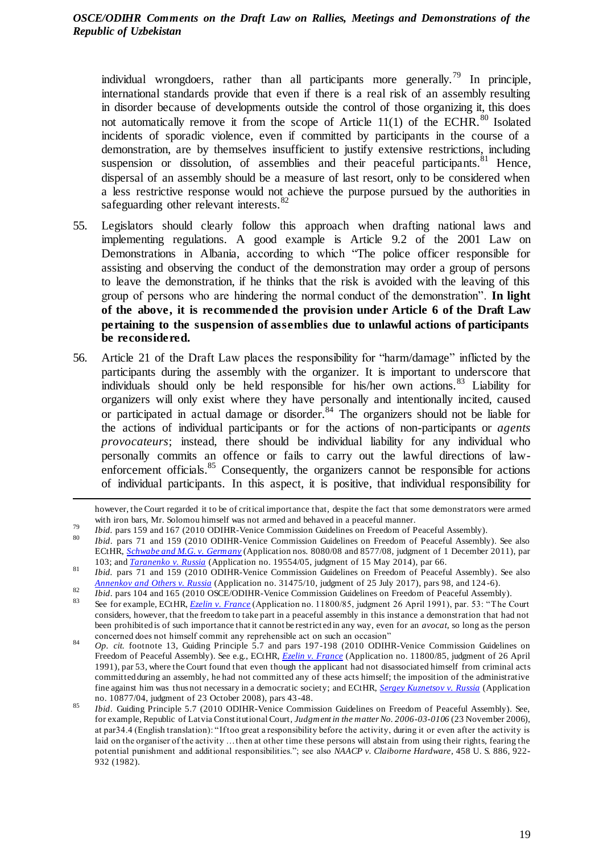individual wrongdoers, rather than all participants more generally.<sup>79</sup> In principle, international standards provide that even if there is a real risk of an assembly resulting in disorder because of developments outside the control of those organizing it, this does not automatically remove it from the scope of Article  $11(1)$  of the ECHR.<sup>80</sup> Isolated incidents of sporadic violence, even if committed by participants in the course of a demonstration, are by themselves insufficient to justify extensive restrictions, including suspension or dissolution, of assemblies and their peaceful participants. <sup>81</sup> Hence, dispersal of an assembly should be a measure of last resort, only to be considered when a less restrictive response would not achieve the purpose pursued by the authorities in safeguarding other relevant interests.<sup>82</sup>

- 55. Legislators should clearly follow this approach when drafting national laws and implementing regulations. A good example is Article 9.2 of the 2001 Law on Demonstrations in Albania, according to which "The police officer responsible for assisting and observing the conduct of the demonstration may order a group of persons to leave the demonstration, if he thinks that the risk is avoided with the leaving of this group of persons who are hindering the normal conduct of the demonstration". **In light of the above, it is recommended the provision under Article 6 of the Draft Law pertaining to the suspension of assemblies due to unlawful actions of participants be reconsidered.**
- 56. Article 21 of the Draft Law places the responsibility for "harm/damage" inflicted by the participants during the assembly with the organizer. It is important to underscore that individuals should only be held responsible for his/her own actions.<sup>83</sup> Liability for organizers will only exist where they have personally and intentionally incited, caused or participated in actual damage or disorder.<sup>84</sup> The organizers should not be liable for the actions of individual participants or for the actions of non-participants or *agents provocateurs*; instead, there should be individual liability for any individual who personally commits an offence or fails to carry out the lawful directions of lawenforcement officials.<sup>85</sup> Consequently, the organizers cannot be responsible for actions of individual participants. In this aspect, it is positive, that individual responsibility for

 $\overline{a}$ 

*Ibid.* pars 71 and 159 (2010 ODIHR-Venice Commission Guidelines on Freedom of Peaceful Assembly). See also ECtHR, *[Schwabe and M.G. v. Germany](http://hudoc.echr.coe.int/eng?i=001-107703)* (Application nos. 8080/08 and 8577/08, judgment of 1 December 2011), par 103; and *[Taranenko v. Russia](http://hudoc.echr.coe.int/eng?i=001-142969)* (Application no. 19554/05, judgment of 15 May 2014), par 66.

however, the Court regarded it to be of critical importance that, despite the fact that some demonstrators were armed with iron bars, Mr. Solomou himself was not armed and behaved in a peaceful manner.

<sup>79</sup> *Ibid.* pars 159 and 167 (2010 ODIHR-Venice Commission Guidelines on Freedom of Peaceful Assembly).<br><sup>80</sup> *Ibid.* pars 159 and 167 (2010 ODIHR-Venice Commission Guidelines on Freedom of Peaceful Assembly).

<sup>81</sup> *Ibid.* pars 71 and 159 (2010 ODIHR-Venice Commission Guidelines on Freedom of Peaceful Assembly). See also *[Annenkov and Others v. Russia](http://hudoc.echr.coe.int/eng?i=001-175668)* (Application no. 31475/10, judgment of 25 July 2017), pars 98, and 124 -6).

<sup>82</sup> *Ibid.* pars 104 and 165 (2010 OSCE/ODIHR-Venice Commission Guidelines on Freedom of Peaceful Assembly).

<sup>83</sup> See for example, ECtHR, *[Ezelin v. France](http://hudoc.echr.coe.int/rus?i=001-57675)* (Application no. 11800/85, judgment 26 April 1991), par. 53: "The Court considers, however, that the freedom to take part in a peaceful assembly in this instance a demonstration that had not been prohibited is of such importance that it cannot be restrict ed in any way, even for an *avocat*, so long as the person concerned does not himself commit any reprehensible act on such an occasion"

<sup>84</sup> *Op. cit.* footnote 13, Guiding Principle 5.7 and pars 197-198 (2010 ODIHR-Venice Commission Guidelines on Freedom of Peaceful Assembly). See e.g., ECtHR, *[Ezelin v. France](http://hudoc.echr.coe.int/eng?i=001-57675)* (Application no. 11800/85, judgment of 26 April 1991), par 53, where the Court found that even though the applicant had not disassociated himself from criminal acts committed during an assembly, he had not committed any of these acts himself; the imposition of the administrative fine against him was thus not necessary in a democratic society; and ECtHR, *[Sergey Kuznetsov v. Russia](http://hudoc.echr.coe.int/eng?i=001-89066)* (Application no. 10877/04, judgment of 23 October 2008), pars 43-48.

<sup>85</sup> *Ibid*. Guiding Principle 5.7 (2010 ODIHR-Venice Commission Guidelines on Freedom of Peaceful Assembly). See, for example, Republic of Latvia Constitutional Court, *Judgment in the matter No. 2006-03-0106* (23 November 2006), at par34.4 (English translation): "If too great a responsibility before the activity, during it or even after the activity is laid on the organiser of the activity ... then at other time these persons will abstain from using their rights, fearing the potential punishment and additional responsibilities."; see also *NAACP v. Claiborne Hardware*, 458 U. S. 886, 922- 932 (1982).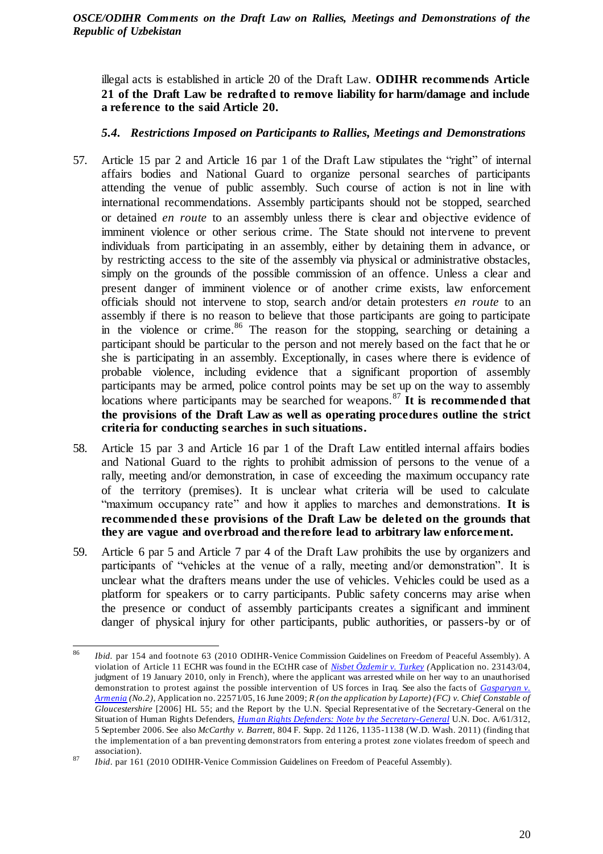illegal acts is established in article 20 of the Draft Law. **ODIHR recommends Article 21 of the Draft Law be redrafted to remove liability for harm/damage and include a reference to the said Article 20.**

# <span id="page-19-0"></span>*5.4. Restrictions Imposed on Participants to Rallies, Meetings and Demonstrations*

- 57. Article 15 par 2 and Article 16 par 1 of the Draft Law stipulates the "right" of internal affairs bodies and National Guard to organize personal searches of participants attending the venue of public assembly. Such course of action is not in line with international recommendations. Assembly participants should not be stopped, searched or detained *en route* to an assembly unless there is clear and objective evidence of imminent violence or other serious crime. The State should not intervene to prevent individuals from participating in an assembly, either by detaining them in advance, or by restricting access to the site of the assembly via physical or administrative obstacles, simply on the grounds of the possible commission of an offence. Unless a clear and present danger of imminent violence or of another crime exists, law enforcement officials should not intervene to stop, search and/or detain protesters *en route* to an assembly if there is no reason to believe that those participants are going to participate in the violence or crime.<sup>86</sup> The reason for the stopping, searching or detaining a participant should be particular to the person and not merely based on the fact that he or she is participating in an assembly. Exceptionally, in cases where there is evidence of probable violence, including evidence that a significant proportion of assembly participants may be armed, police control points may be set up on the way to assembly locations where participants may be searched for weapons.<sup>87</sup> It is recommended that **the provisions of the Draft Law as well as operating procedures outline the strict criteria for conducting searches in such situations.**
- 58. Article 15 par 3 and Article 16 par 1 of the Draft Law entitled internal affairs bodies and National Guard to the rights to prohibit admission of persons to the venue of a rally, meeting and/or demonstration, in case of exceeding the maximum occupancy rate of the territory (premises). It is unclear what criteria will be used to calculate "maximum occupancy rate" and how it applies to marches and demonstrations. **It is recommended these provisions of the Draft Law be deleted on the grounds that they are vague and overbroad and therefore lead to arbitrary law enforcement.**
- 59. Article 6 par 5 and Article 7 par 4 of the Draft Law prohibits the use by organizers and participants of "vehicles at the venue of a rally, meeting and/or demonstration". It is unclear what the drafters means under the use of vehicles. Vehicles could be used as a platform for speakers or to carry participants. Public safety concerns may arise when the presence or conduct of assembly participants creates a significant and imminent danger of physical injury for other participants, public authorities, or passers-by or of

 86 *Ibid.* par 154 and footnote 63 (2010 ODIHR-Venice Commission Guidelines on Freedom of Peaceful Assembly). A violation of Article 11 ECHR was found in the ECtHR case of *[Nisbet Özdemir v. Turkey](http://hudoc.echr.coe.int/eng?i=001-96793) (*Application no. 23143/04, judgment of 19 January 2010, only in French), where the applicant was arrested while on her way to an unauthorised demonstration to protest against the possible intervention of US forces in Iraq. See also the facts of *[Gasparyan v.](http://hudoc.echr.coe.int/eng?i=001-92963)  [Armenia](http://hudoc.echr.coe.int/eng?i=001-92963) (No.2)*, Application no. 22571/05, 16 June 2009; *R (on the application by Laporte) (FC) v. Chief Constable of Gloucestershire* [2006] HL 55; and the Report by the U.N. Special Representative of the Secretary-General on the Situation of Human Rights Defenders, *[Human Rights Defenders: Note by the Secretary-General](https://documents-dds-ny.un.org/doc/UNDOC/GEN/N06/488/07/PDF/N0648807.pdf?OpenElement)* U.N. Doc. A/61/312, 5 September 2006. See also *McCarthy v. Barrett*, 804 F. Supp. 2d 1126, 1135-1138 (W.D. Wash. 2011) (finding that the implementation of a ban preventing demonstrators from entering a protest zone violates freedom of speech and association). 87

*Ibid*. par 161 (2010 ODIHR-Venice Commission Guidelines on Freedom of Peaceful Assembly).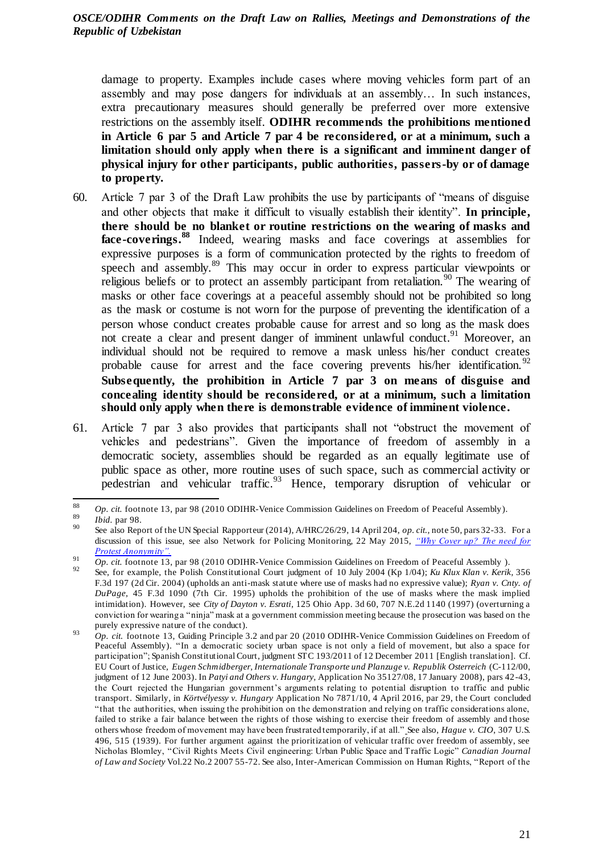damage to property. Examples include cases where moving vehicles form part of an assembly and may pose dangers for individuals at an assembly… In such instances, extra precautionary measures should generally be preferred over more extensive restrictions on the assembly itself. **ODIHR recommends the prohibitions mentioned in Article 6 par 5 and Article 7 par 4 be reconsidered, or at a minimum, such a limitation should only apply when there is a significant and imminent danger of physical injury for other participants, public authorities, passers-by or of damage to property.**

- 60. Article 7 par 3 of the Draft Law prohibits the use by participants of "means of disguise and other objects that make it difficult to visually establish their identity". **In principle, there should be no blanket or routine restrictions on the wearing of masks and face-coverings.<sup>88</sup>** Indeed, wearing masks and face coverings at assemblies for expressive purposes is a form of communication protected by the rights to freedom of speech and assembly.<sup>89</sup> This may occur in order to express particular viewpoints or religious beliefs or to protect an assembly participant from retaliation.<sup>90</sup> The wearing of masks or other face coverings at a peaceful assembly should not be prohibited so long as the mask or costume is not worn for the purpose of preventing the identification of a person whose conduct creates probable cause for arrest and so long as the mask does not create a clear and present danger of imminent unlawful conduct.<sup>91</sup> Moreover, an individual should not be required to remove a mask unless his/her conduct creates probable cause for arrest and the face covering prevents his/her identification.<sup>92</sup> **Subsequently, the prohibition in Article 7 par 3 on means of disguise and concealing identity should be reconsidered, or at a minimum, such a limitation should only apply when there is demonstrable evidence of imminent violence.**
- 61. Article 7 par 3 also provides that participants shall not "obstruct the movement of vehicles and pedestrians". Given the importance of freedom of assembly in a democratic society, assemblies should be regarded as an equally legitimate use of public space as other, more routine uses of such space, such as commercial activity or pedestrian and vehicular traffic.<sup>93</sup> Hence, temporary disruption of vehicular or

<sup>88</sup> 88 *Op. cit.* footnote 13, par 98 (2010 ODIHR-Venice Commission Guidelines on Freedom of Peaceful Assembly).

<sup>89</sup> *Ibid.* par 98.

<sup>90</sup> See also Report of the UN Special Rapporteur (2014), A/HRC/26/29, 14 April 204, *op. cit.,* note 50, pars 32-33. For a discussion of this issue, see also Network for Policing Monitoring, 22 May 2015, *["Why Cover up? The need for](https://netpol.org/2015/05/22/why-cover-up-the-case-for-protest-anonymity/)  [Protest Anonymity".](https://netpol.org/2015/05/22/why-cover-up-the-case-for-protest-anonymity/)*

<sup>&</sup>lt;sup>91</sup> *Op. cit.* footnote 13, par 98 (2010 ODIHR-Venice Commission Guidelines on Freedom of Peaceful Assembly ).

<sup>92</sup> See, for example, the Polish Constitutional Court judgment of 10 July 2004 (Kp 1/04); *Ku Klux Klan v. Kerik*, 356 F.3d 197 (2d Cir. 2004) (upholds an anti-mask statute where use of masks had no expressive value); *Ryan v. Cnty. of DuPage*, 45 F.3d 1090 (7th Cir. 1995) upholds the prohibition of the use of masks where the mask implied intimidation). However, see *City of Dayton v. Esrati*, 125 Ohio App. 3d 60, 707 N.E.2d 1140 (1997) (overturning a conviction for wearing a "ninja" mask at a government commission meeting because the prosecution was based on the purely expressive nature of the conduct).

<sup>&</sup>lt;sup>93</sup> Op. cit. footnote 13, Guiding Principle 3.2 and par 20 (2010 ODIHR-Venice Commission Guidelines on Freedom of Peaceful Assembly). "In a democratic society urban space is not only a field of movement, but also a space for participation"; Spanish Constitutional Court, judgment STC 193/2011 of 12 December 2011 [English translation]. Cf. EU Court of Justice, *Eugen Schmidberger, Internationale Transporte und Planzuge v. Republik Osterreich* (C-112/00, judgment of 12 June 2003). In *Patyi and Others v. Hungary,* Application No 35127/08, 17 January 2008), pars 42-43, the Court rejected the Hungarian government's arguments relating to potential disruption to traffic and public transport. Similarly, in *Körtvélyessy v. Hungary* Application No 7871/10, 4 April 2016, par 29, the Court concluded "that the authorities, when issuing the prohibition on the demonstration and relying on traffic considerations alone, failed to strike a fair balance between the rights of those wishing to exercise their freedom of assembly and those others whose freedom of movement may have been frustrated temporarily, if at all." See also, *Hague v. CIO*, 307 U.S. 496, 515 (1939). For further argument against the prioritization of vehicular traffic over freedom of assembly, see Nicholas Blomley, "Civil Rights Meets Civil engineering: Urban Public Space and Traffic Logic" *Canadian Journal of Law and Society* Vol.22 No.2 2007 55-72. See also, Inter-American Commission on Human Rights, "Report of the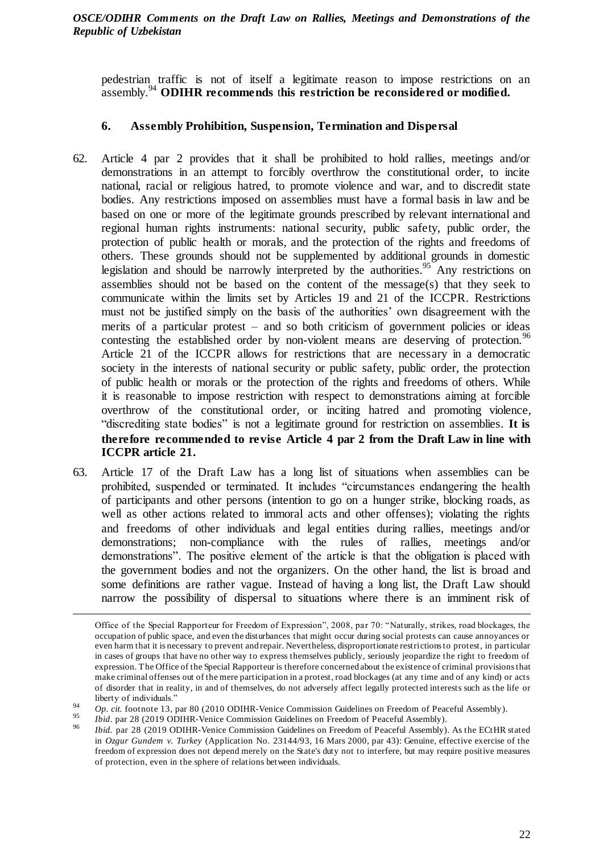pedestrian traffic is not of itself a legitimate reason to impose restrictions on an assembly.<sup>94</sup> **ODIHR recommends** t**his restriction be reconsidered or modified.**

# <span id="page-21-0"></span>**6. Assembly Prohibition, Suspension, Termination and Dispersal**

- 62. Article 4 par 2 provides that it shall be prohibited to hold rallies, meetings and/or demonstrations in an attempt to forcibly overthrow the constitutional order, to incite national, racial or religious hatred, to promote violence and war, and to discredit state bodies. Any restrictions imposed on assemblies must have a formal basis in law and be based on one or more of the legitimate grounds prescribed by relevant international and regional human rights instruments: national security, public safety, public order, the protection of public health or morals, and the protection of the rights and freedoms of others. These grounds should not be supplemented by additional grounds in domestic legislation and should be narrowly interpreted by the authorities.<sup>95</sup> Any restrictions on assemblies should not be based on the content of the message(s) that they seek to communicate within the limits set by Articles 19 and 21 of the ICCPR. Restrictions must not be justified simply on the basis of the authorities' own disagreement with the merits of a particular protest – and so both criticism of government policies or ideas contesting the established order by non-violent means are deserving of protection.<sup>96</sup> Article 21 of the ICCPR allows for restrictions that are necessary in a democratic society in the interests of national security or public safety, public order, the protection of public health or morals or the protection of the rights and freedoms of others. While it is reasonable to impose restriction with respect to demonstrations aiming at forcible overthrow of the constitutional order, or inciting hatred and promoting violence, "discrediting state bodies" is not a legitimate ground for restriction on assemblies. **It is therefore recommended to revise Article 4 par 2 from the Draft Law in line with ICCPR article 21.**
- 63. Article 17 of the Draft Law has a long list of situations when assemblies can be prohibited, suspended or terminated. It includes "circumstances endangering the health of participants and other persons (intention to go on a hunger strike, blocking roads, as well as other actions related to immoral acts and other offenses); violating the rights and freedoms of other individuals and legal entities during rallies, meetings and/or demonstrations; non-compliance with the rules of rallies, meetings and/or demonstrations". The positive element of the article is that the obligation is placed with the government bodies and not the organizers. On the other hand, the list is broad and some definitions are rather vague. Instead of having a long list, the Draft Law should narrow the possibility of dispersal to situations where there is an imminent risk of

 $\overline{a}$ 

Office of the Special Rapporteur for Freedom of Expression", 2008, par 70: "Naturally, strikes, road blockages, the occupation of public space, and even the disturbances that might occur during social protests can cause annoyances or even harm that it is necessary to prevent and repair. Nevertheless, disproportionate restrictions to protest, in particular in cases of groups that have no other way to express themselves publicly, seriously jeopardize the right to freedom of expression. The Office of the Special Rapporteur is therefore concerned about the existence of criminal provisions that make criminal offenses out of the mere participation in a protest, road blockages (at any time and of any kind) or acts of disorder that in reality, in and of themselves, do not adversely affect legally protected interests such as the life or liberty of individuals."

<sup>&</sup>lt;sup>94</sup> Op. cit. footnote 13, par 80 (2010 ODIHR-Venice Commission Guidelines on Freedom of Peaceful Assembly).

<sup>&</sup>lt;sup>95</sup> *Ibid.* par 28 (2019 ODIHR-Venice Commission Guidelines on Freedom of Peaceful Assembly).

*Ibid.* par 28 (2019 ODIHR-Venice Commission Guidelines on Freedom of Peaceful Assembly). As the ECtHR stated in *Ozgur Gundem v. Turkey* (Application No. 23144/93, 16 Mars 2000, par 43): Genuine, effective exercise of the freedom of expression does not depend merely on the State's duty not to interfere, but may require positive measures of protection, even in the sphere of relations between individuals.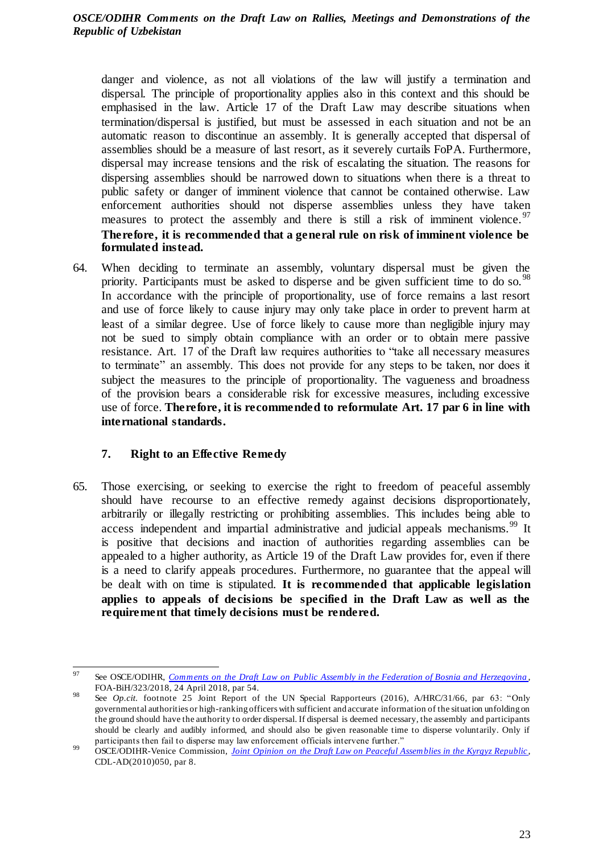danger and violence, as not all violations of the law will justify a termination and dispersal. The principle of proportionality applies also in this context and this should be emphasised in the law. Article 17 of the Draft Law may describe situations when termination/dispersal is justified, but must be assessed in each situation and not be an automatic reason to discontinue an assembly. It is generally accepted that dispersal of assemblies should be a measure of last resort, as it severely curtails FoPA. Furthermore, dispersal may increase tensions and the risk of escalating the situation. The reasons for dispersing assemblies should be narrowed down to situations when there is a threat to public safety or danger of imminent violence that cannot be contained otherwise. Law enforcement authorities should not disperse assemblies unless they have taken measures to protect the assembly and there is still a risk of imminent violence.  $97$ **Therefore, it is recommended that a general rule on risk of imminent violence be formulated instead.**

64. When deciding to terminate an assembly, voluntary dispersal must be given the priority. Participants must be asked to disperse and be given sufficient time to do so.<sup>98</sup> In accordance with the principle of proportionality, use of force remains a last resort and use of force likely to cause injury may only take place in order to prevent harm at least of a similar degree. Use of force likely to cause more than negligible injury may not be sued to simply obtain compliance with an order or to obtain mere passive resistance. Art. 17 of the Draft law requires authorities to "take all necessary measures to terminate" an assembly. This does not provide for any steps to be taken, nor does it subject the measures to the principle of proportionality. The vagueness and broadness of the provision bears a considerable risk for excessive measures, including excessive use of force. **Therefore, it is recommended to reformulate Art. 17 par 6 in line with international standards.**

# <span id="page-22-0"></span>**7. Right to an Effective Remedy**

65. Those exercising, or seeking to exercise the right to freedom of peaceful assembly should have recourse to an effective remedy against decisions disproportionately, arbitrarily or illegally restricting or prohibiting assemblies. This includes being able to access independent and impartial administrative and judicial appeals mechanisms.<sup>99</sup> It is positive that decisions and inaction of authorities regarding assemblies can be appealed to a higher authority, as Article 19 of the Draft Law provides for, even if there is a need to clarify appeals procedures. Furthermore, no guarantee that the appeal will be dealt with on time is stipulated. **It is recommended that applicable legislation applies to appeals of decisions be specified in the Draft Law as well as the requirement that timely decisions must be rendered.** 

<sup>97</sup> See OSCE/ODIHR, *[Comments on the Draft Law on Public Assembly in the Federation of Bosnia and Herzegovina](https://www.legislationline.org/download/action/download/id/8121/file/328_FOA-BiH_6Nov2018_en.pdf)*, FOA-BiH/323/2018, 24 April 2018, par 54.

<sup>98</sup> See *Op.cit*. footnote 25 Joint Report of the UN Special Rapporteurs (2016), A/HRC/31/66, par 63: "Only governmental authorities or high-ranking officers with sufficient and accurate information of the situation unfolding on the ground should have the authority to order dispersal. If dispersal is deemed necessary, the assembly and participants should be clearly and audibly informed, and should also be given reasonable time to disperse voluntarily. Only if participants then fail to disperse may law enforcement officials intervene further."

<sup>99</sup> OSCE/ODIHR-Venice Commission, *[Joint Opinion on the Draft Law on Peaceful Assemblies in the Kyrgyz Republic](http://legislationline.org/download/action/download/id/3229/file/Joint%20Opinion%20on%20the%20draft%20Law%20on%20Peaceful%20Assemblies%2022%20Dec%202010.pdf)*, CDL-AD(2010)050, par 8.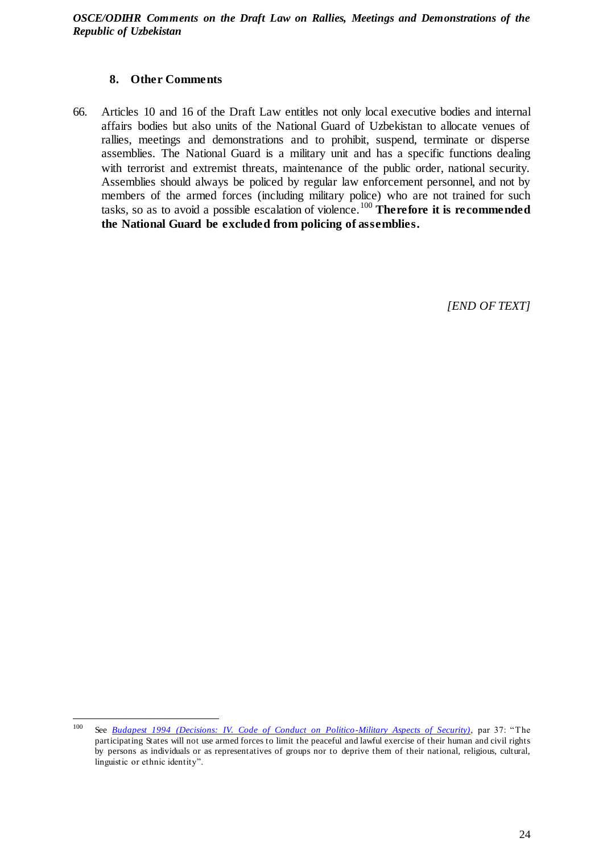# **8. Other Comments**

<span id="page-23-0"></span>66. Articles 10 and 16 of the Draft Law entitles not only local executive bodies and internal affairs bodies but also units of the National Guard of Uzbekistan to allocate venues of rallies, meetings and demonstrations and to prohibit, suspend, terminate or disperse assemblies. The National Guard is a military unit and has a specific functions dealing with terrorist and extremist threats, maintenance of the public order, national security. Assemblies should always be policed by regular law enforcement personnel, and not by members of the armed forces (including military police) who are not trained for such tasks, so as to avoid a possible escalation of violence.<sup>100</sup> **Therefore it is recommended the National Guard be excluded from policing of assemblies.**

*[END OF TEXT]*

<sup>100</sup> See *Budapest 1994 [\(Decisions: IV. Code of Conduct on Politico-Military Aspects of Security\)](https://www.osce.org/fsc/41355?download=true)*, par 37: "The participating States will not use armed forces to limit the peaceful and lawful exercise of their human and civil rights by persons as individuals or as representatives of groups nor to deprive them of their national, religious, cultural, linguistic or ethnic identity".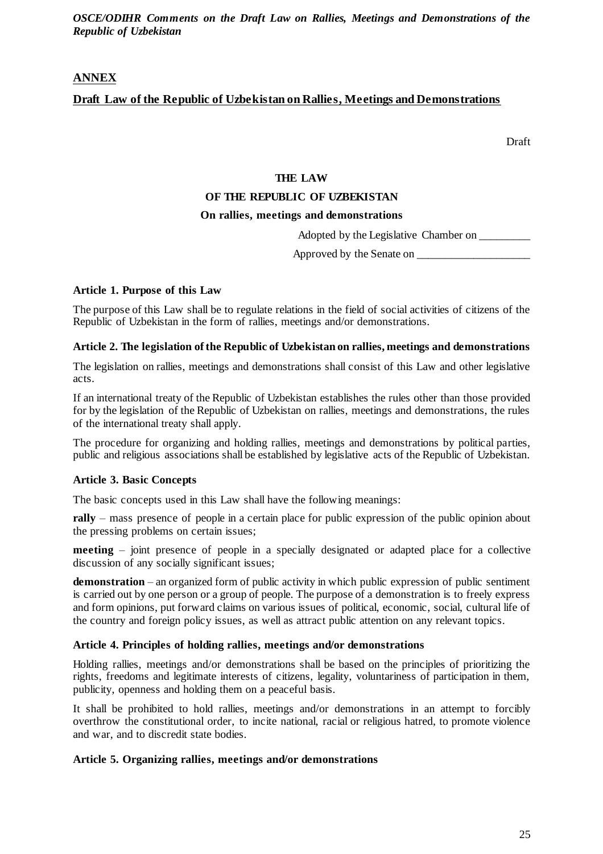# **ANNEX**

# **Draft Law of the Republic of Uzbekistan on Rallies, Meetings and Demonstrations**

Draft

#### **THE LAW**

## **OF THE REPUBLIC OF UZBEKISTAN**

#### **On rallies, meetings and demonstrations**

Adopted by the Legislative Chamber on \_\_\_\_\_\_\_\_\_

Approved by the Senate on

#### **Article 1. Purpose of this Law**

The purpose of this Law shall be to regulate relations in the field of social activities of citizens of the Republic of Uzbekistan in the form of rallies, meetings and/or demonstrations.

#### **Article 2. The legislation of the Republic of Uzbekistan on rallies, meetings and demonstrations**

The legislation on rallies, meetings and demonstrations shall consist of this Law and other legislative acts.

If an international treaty of the Republic of Uzbekistan establishes the rules other than those provided for by the legislation of the Republic of Uzbekistan on rallies, meetings and demonstrations, the rules of the international treaty shall apply.

The procedure for organizing and holding rallies, meetings and demonstrations by political parties, public and religious associations shall be established by legislative acts of the Republic of Uzbekistan.

### **Article 3. Basic Concepts**

The basic concepts used in this Law shall have the following meanings:

**rally** – mass presence of people in a certain place for public expression of the public opinion about the pressing problems on certain issues;

**meeting** – joint presence of people in a specially designated or adapted place for a collective discussion of any socially significant issues;

**demonstration** – an organized form of public activity in which public expression of public sentiment is carried out by one person or a group of people. The purpose of a demonstration is to freely express and form opinions, put forward claims on various issues of political, economic, social, cultural life of the country and foreign policy issues, as well as attract public attention on any relevant topics.

#### **Article 4. Principles of holding rallies, meetings and/or demonstrations**

Holding rallies, meetings and/or demonstrations shall be based on the principles of prioritizing the rights, freedoms and legitimate interests of citizens, legality, voluntariness of participation in them, publicity, openness and holding them on a peaceful basis.

It shall be prohibited to hold rallies, meetings and/or demonstrations in an attempt to forcibly overthrow the constitutional order, to incite national, racial or religious hatred, to promote violence and war, and to discredit state bodies.

### **Article 5. Organizing rallies, meetings and/or demonstrations**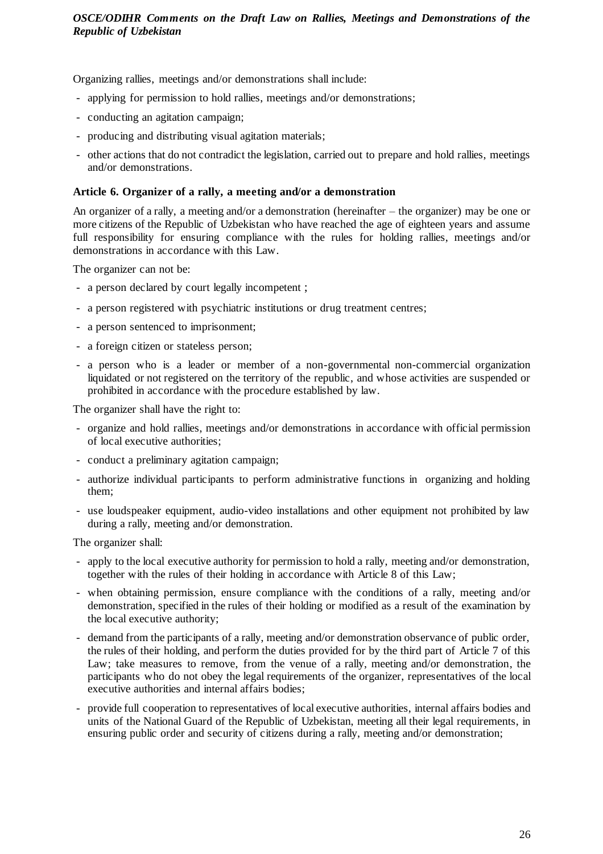Organizing rallies, meetings and/or demonstrations shall include:

- applying for permission to hold rallies, meetings and/or demonstrations;
- conducting an agitation campaign;
- producing and distributing visual agitation materials;
- other actions that do not contradict the legislation, carried out to prepare and hold rallies, meetings and/or demonstrations.

### **Article 6. Organizer of a rally, a meeting and/or a demonstration**

An organizer of a rally, a meeting and/or a demonstration (hereinafter – the organizer) may be one or more citizens of the Republic of Uzbekistan who have reached the age of eighteen years and assume full responsibility for ensuring compliance with the rules for holding rallies, meetings and/or demonstrations in accordance with this Law.

The organizer can not be:

- a person declared by court legally incompetent ;
- a person registered with psychiatric institutions or drug treatment centres;
- a person sentenced to imprisonment;
- a foreign citizen or stateless person;
- a person who is a leader or member of a non-governmental non-commercial organization liquidated or not registered on the territory of the republic, and whose activities are suspended or prohibited in accordance with the procedure established by law.

The organizer shall have the right to:

- organize and hold rallies, meetings and/or demonstrations in accordance with official permission of local executive authorities;
- conduct a preliminary agitation campaign;
- authorize individual participants to perform administrative functions in organizing and holding them;
- use loudspeaker equipment, audio-video installations and other equipment not prohibited by law during a rally, meeting and/or demonstration.

The organizer shall:

- apply to the local executive authority for permission to hold a rally, meeting and/or demonstration, together with the rules of their holding in accordance with Article 8 of this Law;
- when obtaining permission, ensure compliance with the conditions of a rally, meeting and/or demonstration, specified in the rules of their holding or modified as a result of the examination by the local executive authority;
- demand from the participants of a rally, meeting and/or demonstration observance of public order, the rules of their holding, and perform the duties provided for by the third part of Article 7 of this Law; take measures to remove, from the venue of a rally, meeting and/or demonstration, the participants who do not obey the legal requirements of the organizer, representatives of the local executive authorities and internal affairs bodies;
- provide full cooperation to representatives of local executive authorities, internal affairs bodies and units of the National Guard of the Republic of Uzbekistan, meeting all their legal requirements, in ensuring public order and security of citizens during a rally, meeting and/or demonstration;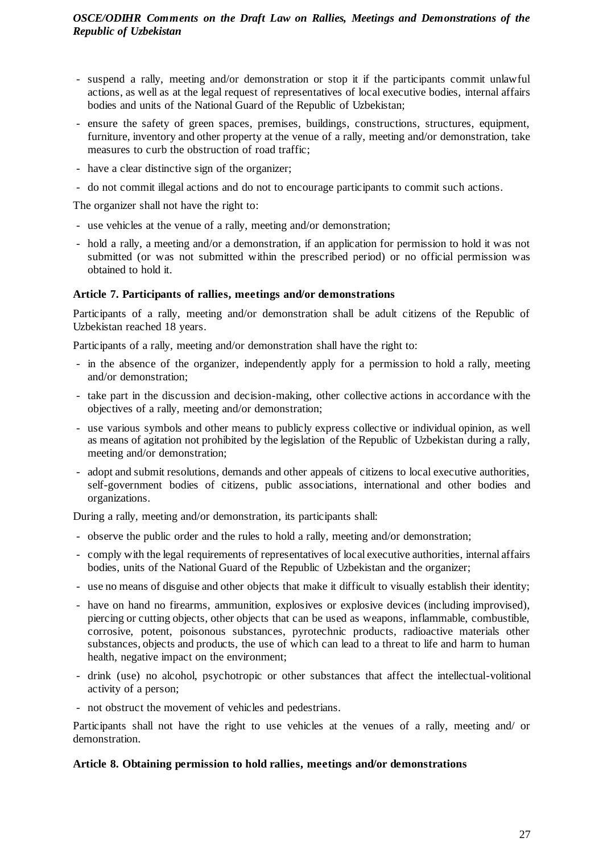- suspend a rally, meeting and/or demonstration or stop it if the participants commit unlawful actions, as well as at the legal request of representatives of local executive bodies, internal affairs bodies and units of the National Guard of the Republic of Uzbekistan;
- ensure the safety of green spaces, premises, buildings, constructions, structures, equipment, furniture, inventory and other property at the venue of a rally, meeting and/or demonstration, take measures to curb the obstruction of road traffic;
- have a clear distinctive sign of the organizer;
- do not commit illegal actions and do not to encourage participants to commit such actions.

The organizer shall not have the right to:

- use vehicles at the venue of a rally, meeting and/or demonstration;
- hold a rally, a meeting and/or a demonstration, if an application for permission to hold it was not submitted (or was not submitted within the prescribed period) or no official permission was obtained to hold it.

## **Article 7. Participants of rallies, meetings and/or demonstrations**

Participants of a rally, meeting and/or demonstration shall be adult citizens of the Republic of Uzbekistan reached 18 years.

Participants of a rally, meeting and/or demonstration shall have the right to:

- in the absence of the organizer, independently apply for a permission to hold a rally, meeting and/or demonstration;
- take part in the discussion and decision-making, other collective actions in accordance with the objectives of a rally, meeting and/or demonstration;
- use various symbols and other means to publicly express collective or individual opinion, as well as means of agitation not prohibited by the legislation of the Republic of Uzbekistan during a rally, meeting and/or demonstration;
- adopt and submit resolutions, demands and other appeals of citizens to local executive authorities, self-government bodies of citizens, public associations, international and other bodies and organizations.

During a rally, meeting and/or demonstration, its participants shall:

- observe the public order and the rules to hold a rally, meeting and/or demonstration;
- comply with the legal requirements of representatives of local executive authorities, internal affairs bodies, units of the National Guard of the Republic of Uzbekistan and the organizer;
- use no means of disguise and other objects that make it difficult to visually establish their identity;
- have on hand no firearms, ammunition, explosives or explosive devices (including improvised), piercing or cutting objects, other objects that can be used as weapons, inflammable, combustible, corrosive, potent, poisonous substances, pyrotechnic products, radioactive materials other substances, objects and products, the use of which can lead to a threat to life and harm to human health, negative impact on the environment;
- drink (use) no alcohol, psychotropic or other substances that affect the intellectual-volitional activity of a person;
- not obstruct the movement of vehicles and pedestrians.

Participants shall not have the right to use vehicles at the venues of a rally, meeting and/ or demonstration.

### **Article 8. Obtaining permission to hold rallies, meetings and/or demonstrations**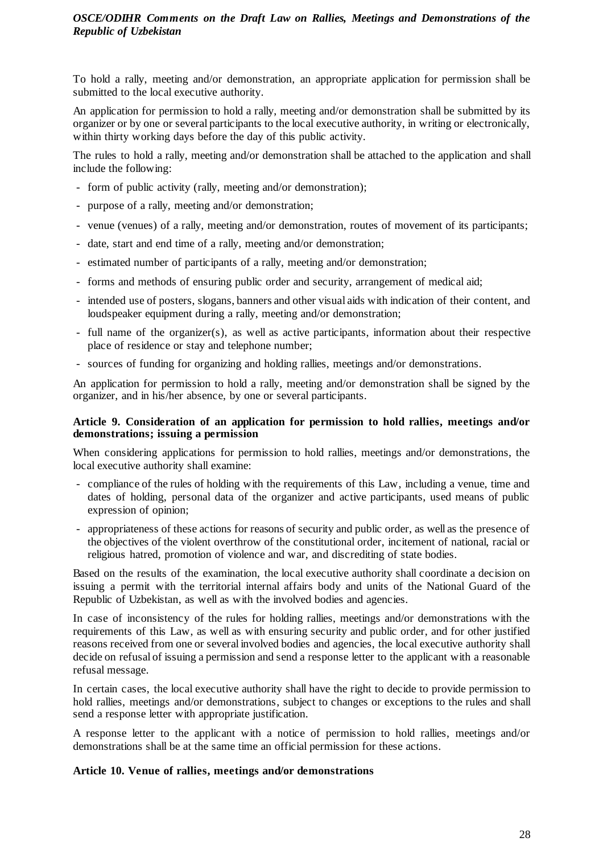To hold a rally, meeting and/or demonstration, an appropriate application for permission shall be submitted to the local executive authority.

An application for permission to hold a rally, meeting and/or demonstration shall be submitted by its organizer or by one or several participants to the local executive authority, in writing or electronically, within thirty working days before the day of this public activity.

The rules to hold a rally, meeting and/or demonstration shall be attached to the application and shall include the following:

- form of public activity (rally, meeting and/or demonstration);
- purpose of a rally, meeting and/or demonstration;
- venue (venues) of a rally, meeting and/or demonstration, routes of movement of its participants;
- date, start and end time of a rally, meeting and/or demonstration;
- estimated number of participants of a rally, meeting and/or demonstration;
- forms and methods of ensuring public order and security, arrangement of medical aid;
- intended use of posters, slogans, banners and other visual aids with indication of their content, and loudspeaker equipment during a rally, meeting and/or demonstration;
- full name of the organizer(s), as well as active participants, information about their respective place of residence or stay and telephone number;
- sources of funding for organizing and holding rallies, meetings and/or demonstrations.

An application for permission to hold a rally, meeting and/or demonstration shall be signed by the organizer, and in his/her absence, by one or several participants.

### **Article 9. Consideration of an application for permission to hold rallies, meetings and/or demonstrations; issuing a permission**

When considering applications for permission to hold rallies, meetings and/or demonstrations, the local executive authority shall examine:

- compliance of the rules of holding with the requirements of this Law, including a venue, time and dates of holding, personal data of the organizer and active participants, used means of public expression of opinion;
- appropriateness of these actions for reasons of security and public order, as well as the presence of the objectives of the violent overthrow of the constitutional order, incitement of national, racial or religious hatred, promotion of violence and war, and discrediting of state bodies.

Based on the results of the examination, the local executive authority shall coordinate a decision on issuing a permit with the territorial internal affairs body and units of the National Guard of the Republic of Uzbekistan, as well as with the involved bodies and agencies.

In case of inconsistency of the rules for holding rallies, meetings and/or demonstrations with the requirements of this Law, as well as with ensuring security and public order, and for other justified reasons received from one or several involved bodies and agencies, the local executive authority shall decide on refusal of issuing a permission and send a response letter to the applicant with a reasonable refusal message.

In certain cases, the local executive authority shall have the right to decide to provide permission to hold rallies, meetings and/or demonstrations, subject to changes or exceptions to the rules and shall send a response letter with appropriate justification.

A response letter to the applicant with a notice of permission to hold rallies, meetings and/or demonstrations shall be at the same time an official permission for these actions.

### **Article 10. Venue of rallies, meetings and/or demonstrations**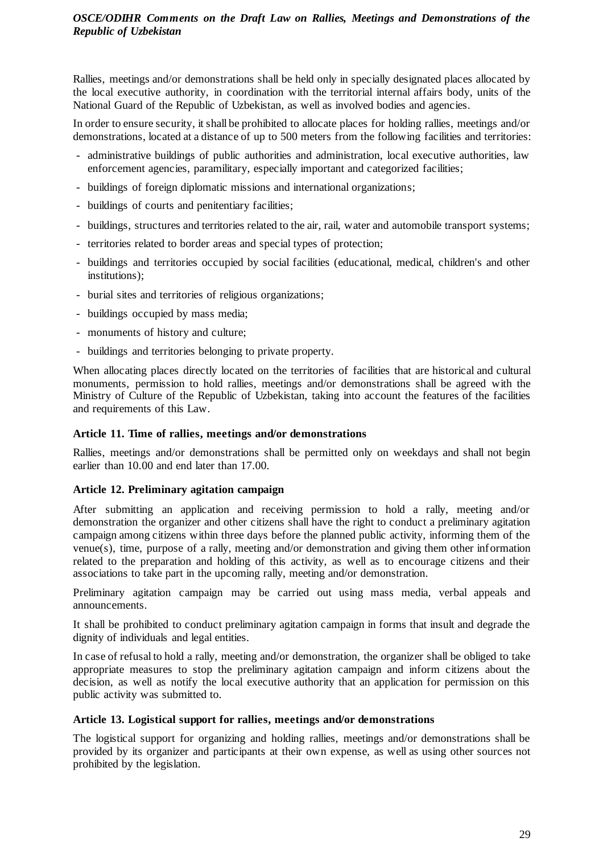Rallies, meetings and/or demonstrations shall be held only in specially designated places allocated by the local executive authority, in coordination with the territorial internal affairs body, units of the National Guard of the Republic of Uzbekistan, as well as involved bodies and agencies.

In order to ensure security, it shall be prohibited to allocate places for holding rallies, meetings and/or demonstrations, located at a distance of up to 500 meters from the following facilities and territories:

- administrative buildings of public authorities and administration, local executive authorities, law enforcement agencies, paramilitary, especially important and categorized facilities;
- buildings of foreign diplomatic missions and international organizations;
- buildings of courts and penitentiary facilities;
- buildings, structures and territories related to the air, rail, water and automobile transport systems;
- territories related to border areas and special types of protection;
- buildings and territories occupied by social facilities (educational, medical, children's and other institutions);
- burial sites and territories of religious organizations;
- buildings occupied by mass media;
- monuments of history and culture;
- buildings and territories belonging to private property.

When allocating places directly located on the territories of facilities that are historical and cultural monuments, permission to hold rallies, meetings and/or demonstrations shall be agreed with the Ministry of Culture of the Republic of Uzbekistan, taking into account the features of the facilities and requirements of this Law.

### **Article 11. Time of rallies, meetings and/or demonstrations**

Rallies, meetings and/or demonstrations shall be permitted only on weekdays and shall not begin earlier than 10.00 and end later than 17.00.

# **Article 12. Preliminary agitation campaign**

After submitting an application and receiving permission to hold a rally, meeting and/or demonstration the organizer and other citizens shall have the right to conduct a preliminary agitation campaign among citizens within three days before the planned public activity, informing them of the venue(s), time, purpose of a rally, meeting and/or demonstration and giving them other information related to the preparation and holding of this activity, as well as to encourage citizens and their associations to take part in the upcoming rally, meeting and/or demonstration.

Preliminary agitation campaign may be carried out using mass media, verbal appeals and announcements.

It shall be prohibited to conduct preliminary agitation campaign in forms that insult and degrade the dignity of individuals and legal entities.

In case of refusal to hold a rally, meeting and/or demonstration, the organizer shall be obliged to take appropriate measures to stop the preliminary agitation campaign and inform citizens about the decision, as well as notify the local executive authority that an application for permission on this public activity was submitted to.

### **Article 13. Logistical support for rallies, meetings and/or demonstrations**

The logistical support for organizing and holding rallies, meetings and/or demonstrations shall be provided by its organizer and participants at their own expense, as well as using other sources not prohibited by the legislation.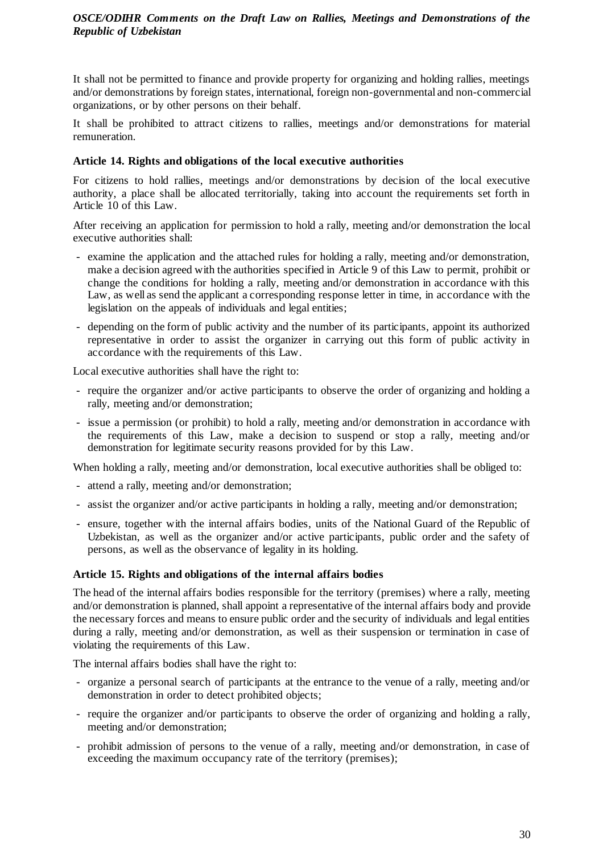It shall not be permitted to finance and provide property for organizing and holding rallies, meetings and/or demonstrations by foreign states, international, foreign non-governmental and non-commercial organizations, or by other persons on their behalf.

It shall be prohibited to attract citizens to rallies, meetings and/or demonstrations for material remuneration.

## **Article 14. Rights and obligations of the local executive authorities**

For citizens to hold rallies, meetings and/or demonstrations by decision of the local executive authority, a place shall be allocated territorially, taking into account the requirements set forth in Article 10 of this Law.

After receiving an application for permission to hold a rally, meeting and/or demonstration the local executive authorities shall:

- examine the application and the attached rules for holding a rally, meeting and/or demonstration, make a decision agreed with the authorities specified in Article 9 of this Law to permit, prohibit or change the conditions for holding a rally, meeting and/or demonstration in accordance with this Law, as well as send the applicant a corresponding response letter in time, in accordance with the legislation on the appeals of individuals and legal entities;
- depending on the form of public activity and the number of its participants, appoint its authorized representative in order to assist the organizer in carrying out this form of public activity in accordance with the requirements of this Law.

Local executive authorities shall have the right to:

- require the organizer and/or active participants to observe the order of organizing and holding a rally, meeting and/or demonstration;
- issue a permission (or prohibit) to hold a rally, meeting and/or demonstration in accordance with the requirements of this Law, make a decision to suspend or stop a rally, meeting and/or demonstration for legitimate security reasons provided for by this Law.

When holding a rally, meeting and/or demonstration, local executive authorities shall be obliged to:

- attend a rally, meeting and/or demonstration;
- assist the organizer and/or active participants in holding a rally, meeting and/or demonstration;
- ensure, together with the internal affairs bodies, units of the National Guard of the Republic of Uzbekistan, as well as the organizer and/or active participants, public order and the safety of persons, as well as the observance of legality in its holding.

# **Article 15. Rights and obligations of the internal affairs bodies**

The head of the internal affairs bodies responsible for the territory (premises) where a rally, meeting and/or demonstration is planned, shall appoint a representative of the internal affairs body and provide the necessary forces and means to ensure public order and the security of individuals and legal entities during a rally, meeting and/or demonstration, as well as their suspension or termination in case of violating the requirements of this Law.

The internal affairs bodies shall have the right to:

- organize a personal search of participants at the entrance to the venue of a rally, meeting and/or demonstration in order to detect prohibited objects;
- require the organizer and/or participants to observe the order of organizing and holding a rally, meeting and/or demonstration;
- prohibit admission of persons to the venue of a rally, meeting and/or demonstration, in case of exceeding the maximum occupancy rate of the territory (premises);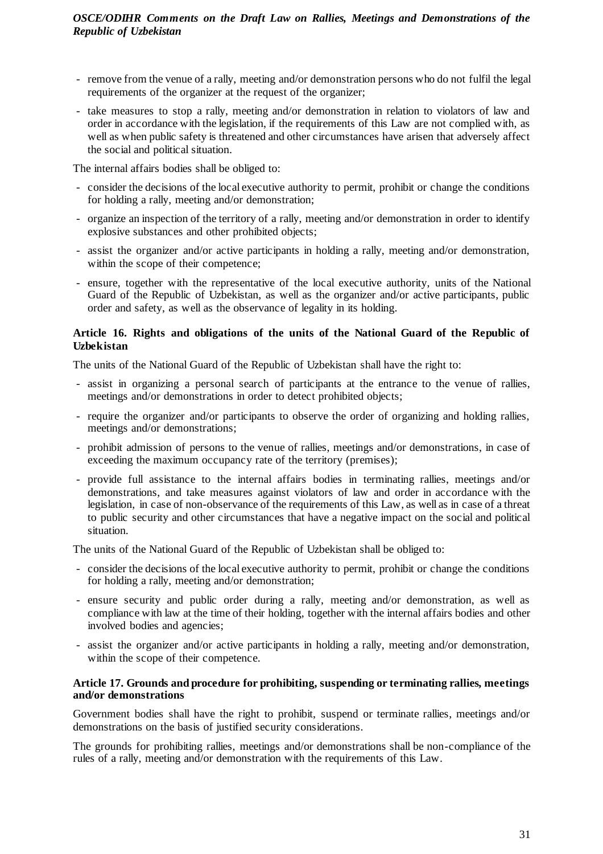- remove from the venue of a rally, meeting and/or demonstration persons who do not fulfil the legal requirements of the organizer at the request of the organizer;
- take measures to stop a rally, meeting and/or demonstration in relation to violators of law and order in accordance with the legislation, if the requirements of this Law are not complied with, as well as when public safety is threatened and other circumstances have arisen that adversely affect the social and political situation.

The internal affairs bodies shall be obliged to:

- consider the decisions of the local executive authority to permit, prohibit or change the conditions for holding a rally, meeting and/or demonstration;
- organize an inspection of the territory of a rally, meeting and/or demonstration in order to identify explosive substances and other prohibited objects;
- assist the organizer and/or active participants in holding a rally, meeting and/or demonstration, within the scope of their competence;
- ensure, together with the representative of the local executive authority, units of the National Guard of the Republic of Uzbekistan, as well as the organizer and/or active participants, public order and safety, as well as the observance of legality in its holding.

## **Article 16. Rights and obligations of the units of the National Guard of the Republic of Uzbekistan**

The units of the National Guard of the Republic of Uzbekistan shall have the right to:

- assist in organizing a personal search of participants at the entrance to the venue of rallies, meetings and/or demonstrations in order to detect prohibited objects;
- require the organizer and/or participants to observe the order of organizing and holding rallies, meetings and/or demonstrations;
- prohibit admission of persons to the venue of rallies, meetings and/or demonstrations, in case of exceeding the maximum occupancy rate of the territory (premises);
- provide full assistance to the internal affairs bodies in terminating rallies, meetings and/or demonstrations, and take measures against violators of law and order in accordance with the legislation, in case of non-observance of the requirements of this Law, as well as in case of a threat to public security and other circumstances that have a negative impact on the social and political situation.

The units of the National Guard of the Republic of Uzbekistan shall be obliged to:

- consider the decisions of the local executive authority to permit, prohibit or change the conditions for holding a rally, meeting and/or demonstration;
- ensure security and public order during a rally, meeting and/or demonstration, as well as compliance with law at the time of their holding, together with the internal affairs bodies and other involved bodies and agencies;
- assist the organizer and/or active participants in holding a rally, meeting and/or demonstration, within the scope of their competence.

### **Article 17. Grounds and procedure for prohibiting, suspending or terminating rallies, meetings and/or demonstrations**

Government bodies shall have the right to prohibit, suspend or terminate rallies, meetings and/or demonstrations on the basis of justified security considerations.

The grounds for prohibiting rallies, meetings and/or demonstrations shall be non-compliance of the rules of a rally, meeting and/or demonstration with the requirements of this Law.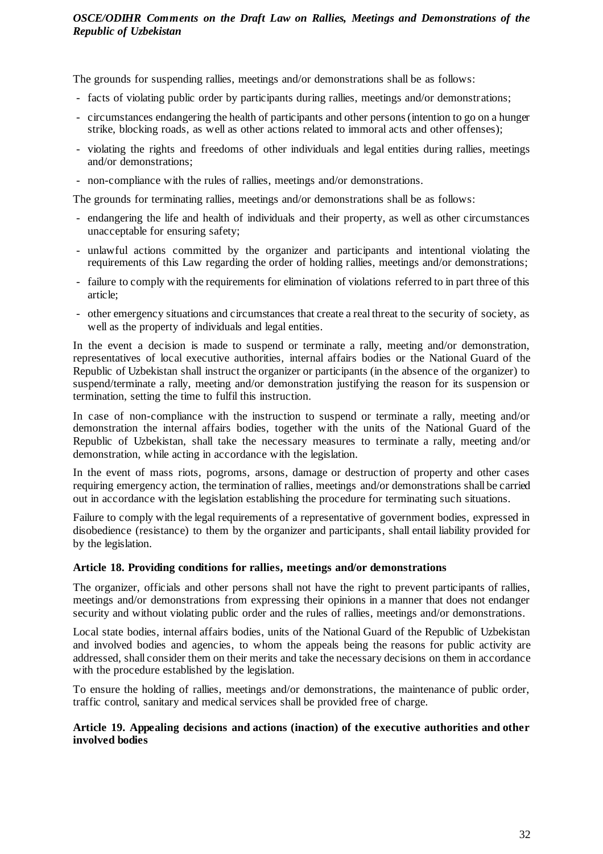The grounds for suspending rallies, meetings and/or demonstrations shall be as follows:

- facts of violating public order by participants during rallies, meetings and/or demonstrations;
- circumstances endangering the health of participants and other persons (intention to go on a hunger strike, blocking roads, as well as other actions related to immoral acts and other offenses);
- violating the rights and freedoms of other individuals and legal entities during rallies, meetings and/or demonstrations;
- non-compliance with the rules of rallies, meetings and/or demonstrations.

The grounds for terminating rallies, meetings and/or demonstrations shall be as follows:

- endangering the life and health of individuals and their property, as well as other circumstances unacceptable for ensuring safety;
- unlawful actions committed by the organizer and participants and intentional violating the requirements of this Law regarding the order of holding rallies, meetings and/or demonstrations;
- failure to comply with the requirements for elimination of violations referred to in part three of this article;
- other emergency situations and circumstances that create a real threat to the security of society, as well as the property of individuals and legal entities.

In the event a decision is made to suspend or terminate a rally, meeting and/or demonstration, representatives of local executive authorities, internal affairs bodies or the National Guard of the Republic of Uzbekistan shall instruct the organizer or participants (in the absence of the organizer) to suspend/terminate a rally, meeting and/or demonstration justifying the reason for its suspension or termination, setting the time to fulfil this instruction.

In case of non-compliance with the instruction to suspend or terminate a rally, meeting and/or demonstration the internal affairs bodies, together with the units of the National Guard of the Republic of Uzbekistan, shall take the necessary measures to terminate a rally, meeting and/or demonstration, while acting in accordance with the legislation.

In the event of mass riots, pogroms, arsons, damage or destruction of property and other cases requiring emergency action, the termination of rallies, meetings and/or demonstrations shall be carried out in accordance with the legislation establishing the procedure for terminating such situations.

Failure to comply with the legal requirements of a representative of government bodies, expressed in disobedience (resistance) to them by the organizer and participants, shall entail liability provided for by the legislation.

### **Article 18. Providing conditions for rallies, meetings and/or demonstrations**

The organizer, officials and other persons shall not have the right to prevent participants of rallies, meetings and/or demonstrations from expressing their opinions in a manner that does not endanger security and without violating public order and the rules of rallies, meetings and/or demonstrations.

Local state bodies, internal affairs bodies, units of the National Guard of the Republic of Uzbekistan and involved bodies and agencies, to whom the appeals being the reasons for public activity are addressed, shall consider them on their merits and take the necessary decisions on them in accordance with the procedure established by the legislation.

To ensure the holding of rallies, meetings and/or demonstrations, the maintenance of public order, traffic control, sanitary and medical services shall be provided free of charge.

## **Article 19. Appealing decisions and actions (inaction) of the executive authorities and other involved bodies**